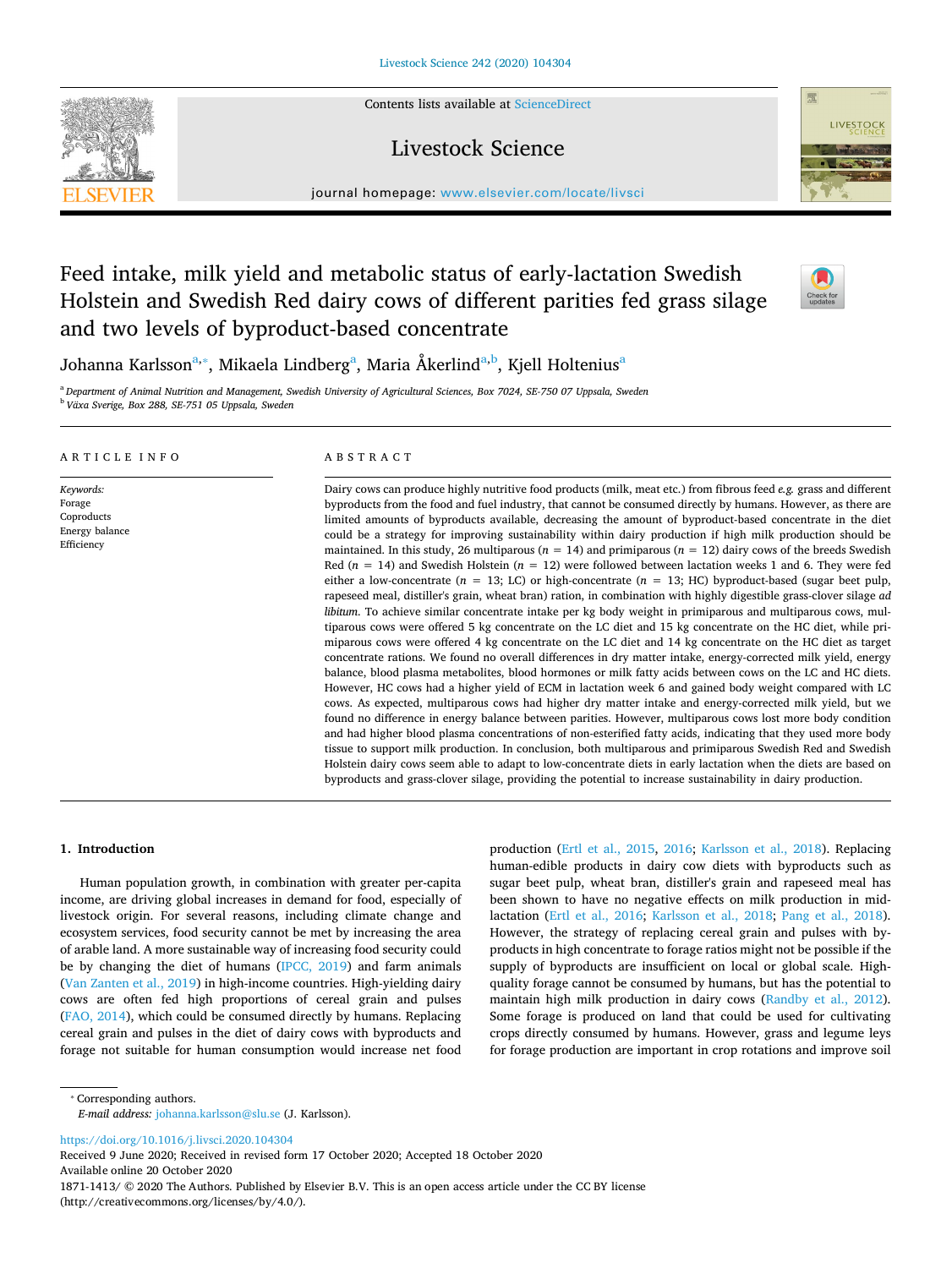Contents lists available at [ScienceDirect](http://www.sciencedirect.com/science/journal/18711413)

# Livestock Science



# Feed intake, milk yield and metabolic status of early-lactation Swedish Holstein and Swedish Red dairy cows of different parities fed grass silage and two levels of byproduct-based concentrate



LIVESTOCK

Johan[na](#page-0-0) K[a](#page-0-0)rlsson<sup>[a,](#page-0-0)</sup>\*, Mikaela Lind[b](#page-0-2)erg<sup>a</sup>, Maria Åkerlind<sup>a,b</sup>, Kjell Holtenius<sup>a</sup>

<span id="page-0-2"></span><span id="page-0-0"></span><sup>a</sup> *Department of Animal Nutrition and Management, Swedish University of Agricultural Sciences, Box 7024, SE-750 07 Uppsala, Sweden* <sup>b</sup> *Växa Sverige, Box 288, SE-751 05 Uppsala, Sweden*

# ARTICLE INFO

*Keywords:* Forage Coproducts Energy balance Efficiency

# ABSTRACT

Dairy cows can produce highly nutritive food products (milk, meat etc.) from fibrous feed *e.g.* grass and different byproducts from the food and fuel industry, that cannot be consumed directly by humans. However, as there are limited amounts of byproducts available, decreasing the amount of byproduct-based concentrate in the diet could be a strategy for improving sustainability within dairy production if high milk production should be maintained. In this study, 26 multiparous ( $n = 14$ ) and primiparous ( $n = 12$ ) dairy cows of the breeds Swedish Red ( $n = 14$ ) and Swedish Holstein ( $n = 12$ ) were followed between lactation weeks 1 and 6. They were fed either a low-concentrate (*n* = 13; LC) or high-concentrate (*n* = 13; HC) byproduct-based (sugar beet pulp, rapeseed meal, distiller's grain, wheat bran) ration, in combination with highly digestible grass-clover silage *ad libitum*. To achieve similar concentrate intake per kg body weight in primiparous and multiparous cows, multiparous cows were offered 5 kg concentrate on the LC diet and 15 kg concentrate on the HC diet, while primiparous cows were offered 4 kg concentrate on the LC diet and 14 kg concentrate on the HC diet as target concentrate rations. We found no overall differences in dry matter intake, energy-corrected milk yield, energy balance, blood plasma metabolites, blood hormones or milk fatty acids between cows on the LC and HC diets. However, HC cows had a higher yield of ECM in lactation week 6 and gained body weight compared with LC cows. As expected, multiparous cows had higher dry matter intake and energy-corrected milk yield, but we found no difference in energy balance between parities. However, multiparous cows lost more body condition and had higher blood plasma concentrations of non-esterified fatty acids, indicating that they used more body tissue to support milk production. In conclusion, both multiparous and primiparous Swedish Red and Swedish Holstein dairy cows seem able to adapt to low-concentrate diets in early lactation when the diets are based on byproducts and grass-clover silage, providing the potential to increase sustainability in dairy production.

# **1. Introduction**

Human population growth, in combination with greater per-capita income, are driving global increases in demand for food, especially of livestock origin. For several reasons, including climate change and ecosystem services, food security cannot be met by increasing the area of arable land. A more sustainable way of increasing food security could be by changing the diet of humans ([IPCC, 2019](#page-7-0)) and farm animals ([Van Zanten et al., 2019\)](#page-7-1) in high-income countries. High-yielding dairy cows are often fed high proportions of cereal grain and pulses ([FAO, 2014\)](#page-7-2), which could be consumed directly by humans. Replacing cereal grain and pulses in the diet of dairy cows with byproducts and forage not suitable for human consumption would increase net food production ([Ertl et al., 2015,](#page-7-3) [2016](#page-7-4); [Karlsson et al., 2018](#page-7-5)). Replacing human-edible products in dairy cow diets with byproducts such as sugar beet pulp, wheat bran, distiller's grain and rapeseed meal has been shown to have no negative effects on milk production in midlactation ([Ertl et al., 2016](#page-7-4); [Karlsson et al., 2018;](#page-7-5) [Pang et al., 2018](#page-7-6)). However, the strategy of replacing cereal grain and pulses with byproducts in high concentrate to forage ratios might not be possible if the supply of byproducts are insufficient on local or global scale. Highquality forage cannot be consumed by humans, but has the potential to maintain high milk production in dairy cows [\(Randby et al., 2012](#page-7-7)). Some forage is produced on land that could be used for cultivating crops directly consumed by humans. However, grass and legume leys for forage production are important in crop rotations and improve soil

<span id="page-0-1"></span>⁎ Corresponding authors.

*E-mail address:* [johanna.karlsson@slu.se](mailto:johanna.karlsson@slu.se) (J. Karlsson).

<https://doi.org/10.1016/j.livsci.2020.104304>

Received 9 June 2020; Received in revised form 17 October 2020; Accepted 18 October 2020 Available online 20 October 2020 1871-1413/ © 2020 The Authors. Published by Elsevier B.V. This is an open access article under the CC BY license (http://creativecommons.org/licenses/by/4.0/).

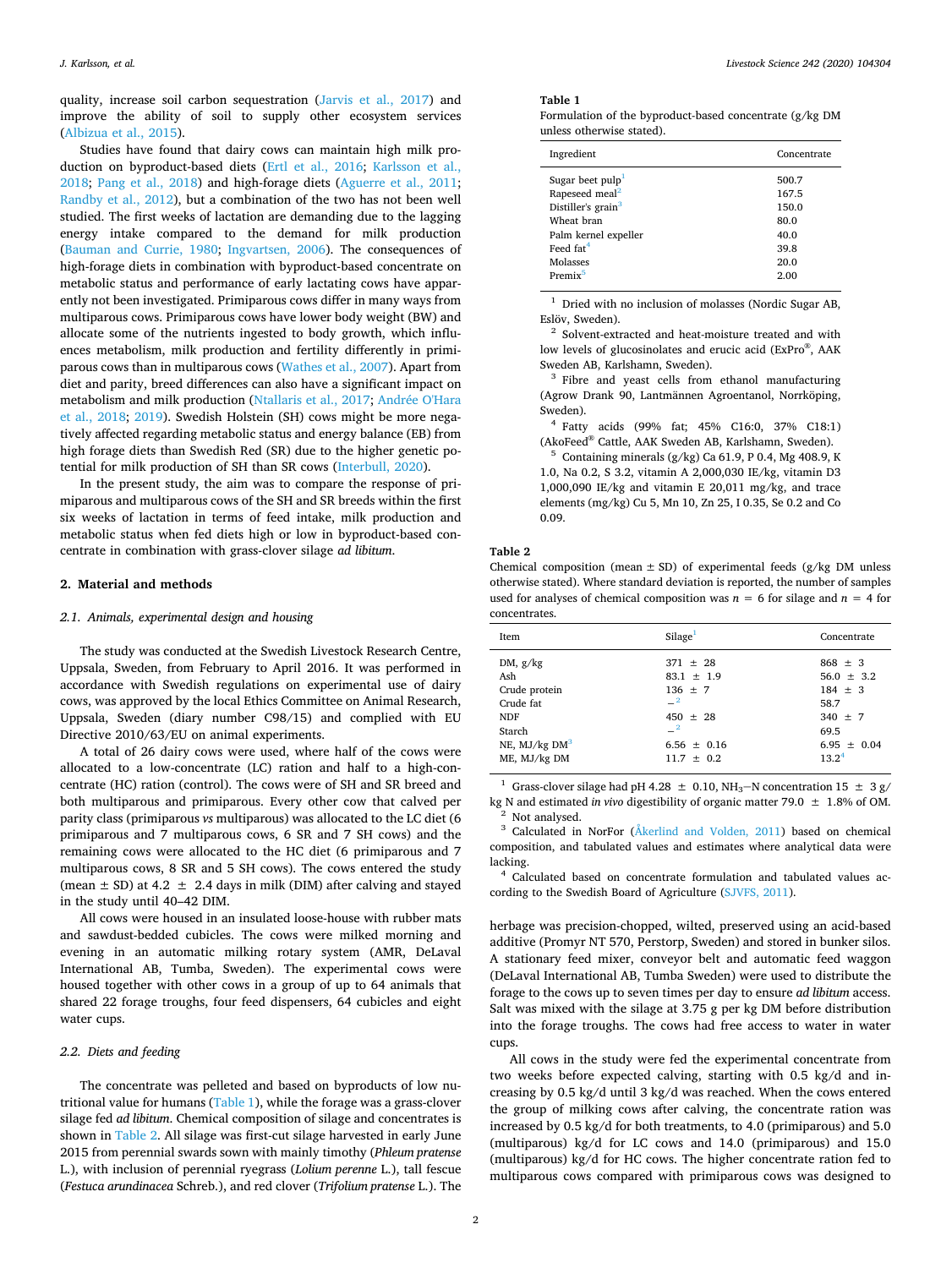quality, increase soil carbon sequestration [\(Jarvis et al., 2017\)](#page-7-8) and improve the ability of soil to supply other ecosystem services ([Albizua et al., 2015\)](#page-7-9).

Studies have found that dairy cows can maintain high milk production on byproduct-based diets [\(Ertl et al., 2016](#page-7-4); [Karlsson et al.,](#page-7-5) [2018;](#page-7-5) [Pang et al., 2018\)](#page-7-6) and high-forage diets [\(Aguerre et al., 2011](#page-7-10); [Randby et al., 2012\)](#page-7-7), but a combination of the two has not been well studied. The first weeks of lactation are demanding due to the lagging energy intake compared to the demand for milk production ([Bauman and Currie, 1980](#page-7-11); [Ingvartsen, 2006\)](#page-7-12). The consequences of high-forage diets in combination with byproduct-based concentrate on metabolic status and performance of early lactating cows have apparently not been investigated. Primiparous cows differ in many ways from multiparous cows. Primiparous cows have lower body weight (BW) and allocate some of the nutrients ingested to body growth, which influences metabolism, milk production and fertility differently in primiparous cows than in multiparous cows [\(Wathes et al., 2007](#page-8-0)). Apart from diet and parity, breed differences can also have a significant impact on metabolism and milk production ([Ntallaris et al., 2017;](#page-7-13) [Andrée O'Hara](#page-7-14) [et al., 2018;](#page-7-14) [2019\)](#page-7-15). Swedish Holstein (SH) cows might be more negatively affected regarding metabolic status and energy balance (EB) from high forage diets than Swedish Red (SR) due to the higher genetic potential for milk production of SH than SR cows [\(Interbull, 2020\)](#page-7-16).

In the present study, the aim was to compare the response of primiparous and multiparous cows of the SH and SR breeds within the first six weeks of lactation in terms of feed intake, milk production and metabolic status when fed diets high or low in byproduct-based concentrate in combination with grass-clover silage *ad libitum*.

# **2. Material and methods**

# *2.1. Animals, experimental design and housing*

The study was conducted at the Swedish Livestock Research Centre, Uppsala, Sweden, from February to April 2016. It was performed in accordance with Swedish regulations on experimental use of dairy cows, was approved by the local Ethics Committee on Animal Research, Uppsala, Sweden (diary number C98/15) and complied with EU Directive 2010/63/EU on animal experiments.

A total of 26 dairy cows were used, where half of the cows were allocated to a low-concentrate (LC) ration and half to a high-concentrate (HC) ration (control). The cows were of SH and SR breed and both multiparous and primiparous. Every other cow that calved per parity class (primiparous *vs* multiparous) was allocated to the LC diet (6 primiparous and 7 multiparous cows, 6 SR and 7 SH cows) and the remaining cows were allocated to the HC diet (6 primiparous and 7 multiparous cows, 8 SR and 5 SH cows). The cows entered the study (mean  $\pm$  SD) at 4.2  $\pm$  2.4 days in milk (DIM) after calving and stayed in the study until 40–42 DIM.

All cows were housed in an insulated loose-house with rubber mats and sawdust-bedded cubicles. The cows were milked morning and evening in an automatic milking rotary system (AMR, DeLaval International AB, Tumba, Sweden). The experimental cows were housed together with other cows in a group of up to 64 animals that shared 22 forage troughs, four feed dispensers, 64 cubicles and eight water cups.

# *2.2. Diets and feeding*

The concentrate was pelleted and based on byproducts of low nutritional value for humans ([Table 1\)](#page-1-0), while the forage was a grass-clover silage fed *ad libitum*. Chemical composition of silage and concentrates is shown in [Table 2](#page-1-1). All silage was first-cut silage harvested in early June 2015 from perennial swards sown with mainly timothy (*Phleum pratense* L.), with inclusion of perennial ryegrass (*Lolium perenne* L.), tall fescue (*Festuca arundinacea* Schreb.), and red clover (*Trifolium pratense* L.). The <span id="page-1-0"></span>**Table 1**

|                           |  | Formulation of the byproduct-based concentrate $(g/kg$ DM |  |
|---------------------------|--|-----------------------------------------------------------|--|
| unless otherwise stated). |  |                                                           |  |

| Ingredient                     | Concentrate |
|--------------------------------|-------------|
| Sugar beet pulp <sup>1</sup>   | 500.7       |
| Rapeseed meal <sup>2</sup>     | 167.5       |
| Distiller's grain <sup>3</sup> | 150.0       |
| Wheat bran                     | 80.0        |
| Palm kernel expeller           | 40.0        |
| Feed fat <sup>4</sup>          | 39.8        |
| Molasses                       | 20.0        |
| Premix <sup>5</sup>            | 2.00        |
|                                |             |

<span id="page-1-2"></span><sup>1</sup> Dried with no inclusion of molasses (Nordic Sugar AB, Eslöv, Sweden).

<span id="page-1-3"></span><sup>2</sup> Solvent-extracted and heat-moisture treated and with low levels of glucosinolates and erucic acid (ExPro®, AAK Sweden AB, Karlshamn, Sweden).

<span id="page-1-4"></span><sup>3</sup> Fibre and yeast cells from ethanol manufacturing (Agrow Drank 90, Lantmännen Agroentanol, Norrköping, Sweden).

<span id="page-1-5"></span><sup>4</sup> Fatty acids (99% fat; 45% C16:0, 37% C18:1) (AkoFeedⓇ Cattle, AAK Sweden AB, Karlshamn, Sweden).

<span id="page-1-6"></span>Containing minerals  $(g/kg)$  Ca 61.9, P 0.4, Mg 408.9, K 1.0, Na 0.2, S 3.2, vitamin A 2,000,030 IE/kg, vitamin D3 1,000,090 IE/kg and vitamin E 20,011 mg/kg, and trace elements (mg/kg) Cu 5, Mn 10, Zn 25, I 0.35, Se 0.2 and Co 0.09.

### <span id="page-1-1"></span>**Table 2**

Chemical composition (mean  $\pm$  SD) of experimental feeds (g/kg DM unless otherwise stated). Where standard deviation is reported, the number of samples used for analyses of chemical composition was  $n = 6$  for silage and  $n = 4$  for concentrates.

| <b>Item</b>                                                                                                            | Silage <sup>1</sup>                                                                                              | Concentrate                                                                                                         |
|------------------------------------------------------------------------------------------------------------------------|------------------------------------------------------------------------------------------------------------------|---------------------------------------------------------------------------------------------------------------------|
| DM, $g/kg$<br>Ash<br>Crude protein<br>Crude fat<br><b>NDF</b><br>Starch<br>NE, $MJ/kg$ DM <sup>3</sup><br>ME, MJ/kg DM | $371 \pm 28$<br>$83.1 \pm 1.9$<br>$136 \pm 7$<br>$-2$<br>$450 + 28$<br>$-2$<br>$6.56 \pm 0.16$<br>$11.7 \pm 0.2$ | $868 \pm 3$<br>$56.0 \pm 3.2$<br>$184 \pm 3$<br>58.7<br>$340 \pm 7$<br>69.5<br>$6.95 \pm 0.04$<br>13.2 <sup>4</sup> |
|                                                                                                                        |                                                                                                                  |                                                                                                                     |

<span id="page-1-7"></span>Grass-clover silage had pH 4.28  $\pm$  0.10, NH<sub>3</sub>-N concentration 15  $\pm$  3 g/ kg N and estimated *in vivo* digestibility of organic matter 79.0 ± 1.8% of OM.

<span id="page-1-9"></span><span id="page-1-8"></span> $^2$  Not analysed.<br><sup>3</sup> Calculated in NorFor [\(Åkerlind and Volden, 2011\)](#page-7-17) based on chemical composition, and tabulated values and estimates where analytical data were lacking.

<span id="page-1-10"></span><sup>4</sup> Calculated based on concentrate formulation and tabulated values according to the Swedish Board of Agriculture ([SJVFS, 2011\)](#page-7-18).

herbage was precision-chopped, wilted, preserved using an acid-based additive (Promyr NT 570, Perstorp, Sweden) and stored in bunker silos. A stationary feed mixer, conveyor belt and automatic feed waggon (DeLaval International AB, Tumba Sweden) were used to distribute the forage to the cows up to seven times per day to ensure *ad libitum* access. Salt was mixed with the silage at 3.75 g per kg DM before distribution into the forage troughs. The cows had free access to water in water cups.

All cows in the study were fed the experimental concentrate from two weeks before expected calving, starting with 0.5 kg/d and increasing by 0.5 kg/d until 3 kg/d was reached. When the cows entered the group of milking cows after calving, the concentrate ration was increased by 0.5 kg/d for both treatments, to 4.0 (primiparous) and 5.0 (multiparous) kg/d for LC cows and 14.0 (primiparous) and 15.0 (multiparous) kg/d for HC cows. The higher concentrate ration fed to multiparous cows compared with primiparous cows was designed to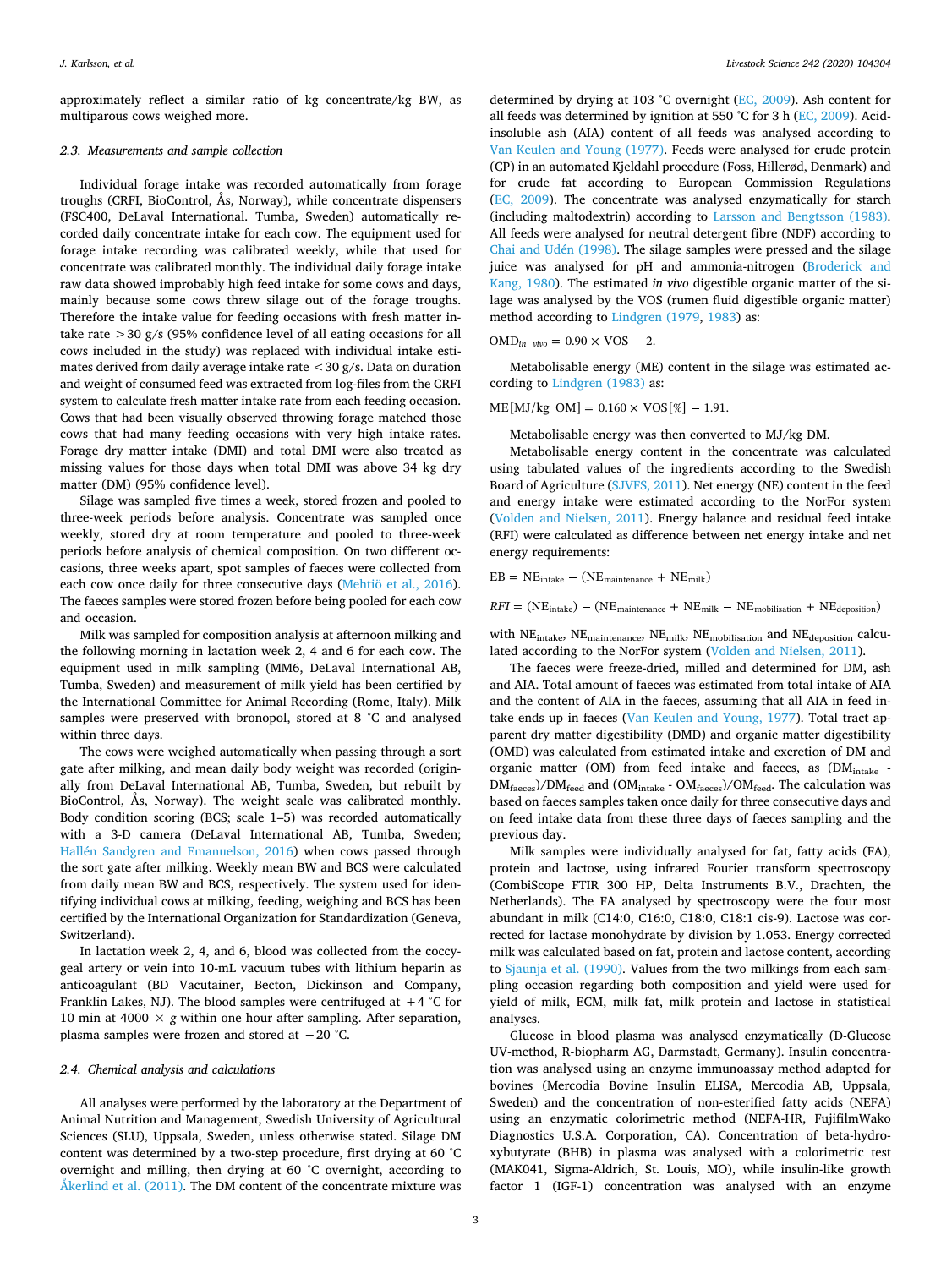approximately reflect a similar ratio of kg concentrate/kg BW, as multiparous cows weighed more.

# *2.3. Measurements and sample collection*

Individual forage intake was recorded automatically from forage troughs (CRFI, BioControl, Ås, Norway), while concentrate dispensers (FSC400, DeLaval International. Tumba, Sweden) automatically recorded daily concentrate intake for each cow. The equipment used for forage intake recording was calibrated weekly, while that used for concentrate was calibrated monthly. The individual daily forage intake raw data showed improbably high feed intake for some cows and days, mainly because some cows threw silage out of the forage troughs. Therefore the intake value for feeding occasions with fresh matter intake rate  $>$  30 g/s (95% confidence level of all eating occasions for all cows included in the study) was replaced with individual intake estimates derived from daily average intake rate  $\langle 30 \text{ g/s} \rangle$ . Data on duration and weight of consumed feed was extracted from log-files from the CRFI system to calculate fresh matter intake rate from each feeding occasion. Cows that had been visually observed throwing forage matched those cows that had many feeding occasions with very high intake rates. Forage dry matter intake (DMI) and total DMI were also treated as missing values for those days when total DMI was above 34 kg dry matter (DM) (95% confidence level).

Silage was sampled five times a week, stored frozen and pooled to three-week periods before analysis. Concentrate was sampled once weekly, stored dry at room temperature and pooled to three-week periods before analysis of chemical composition. On two different occasions, three weeks apart, spot samples of faeces were collected from each cow once daily for three consecutive days [\(Mehtiö et al., 2016](#page-7-19)). The faeces samples were stored frozen before being pooled for each cow and occasion.

Milk was sampled for composition analysis at afternoon milking and the following morning in lactation week 2, 4 and 6 for each cow. The equipment used in milk sampling (MM6, DeLaval International AB, Tumba, Sweden) and measurement of milk yield has been certified by the International Committee for Animal Recording (Rome, Italy). Milk samples were preserved with bronopol, stored at 8 °C and analysed within three days.

The cows were weighed automatically when passing through a sort gate after milking, and mean daily body weight was recorded (originally from DeLaval International AB, Tumba, Sweden, but rebuilt by BioControl, Ås, Norway). The weight scale was calibrated monthly. Body condition scoring (BCS; scale 1–5) was recorded automatically with a 3-D camera (DeLaval International AB, Tumba, Sweden; [Hallén Sandgren and Emanuelson, 2016\)](#page-7-20) when cows passed through the sort gate after milking. Weekly mean BW and BCS were calculated from daily mean BW and BCS, respectively. The system used for identifying individual cows at milking, feeding, weighing and BCS has been certified by the International Organization for Standardization (Geneva, Switzerland).

In lactation week 2, 4, and 6, blood was collected from the coccygeal artery or vein into 10-mL vacuum tubes with lithium heparin as anticoagulant (BD Vacutainer, Becton, Dickinson and Company, Franklin Lakes, NJ). The blood samples were centrifuged at  $+4$  °C for 10 min at 4000  $\times$  *g* within one hour after sampling. After separation, plasma samples were frozen and stored at −20 °C.

# *2.4. Chemical analysis and calculations*

All analyses were performed by the laboratory at the Department of Animal Nutrition and Management, Swedish University of Agricultural Sciences (SLU), Uppsala, Sweden, unless otherwise stated. Silage DM content was determined by a two-step procedure, first drying at 60 °C overnight and milling, then drying at 60 °C overnight, according to Åkerlind et al.  $(2011)$ . The DM content of the concentrate mixture was

determined by drying at 103 °C overnight [\(EC, 2009\)](#page-7-22). Ash content for all feeds was determined by ignition at 550 °C for 3 h ([EC, 2009\)](#page-7-22). Acidinsoluble ash (AIA) content of all feeds was analysed according to [Van Keulen and Young \(1977\).](#page-7-23) Feeds were analysed for crude protein (CP) in an automated Kjeldahl procedure (Foss, Hillerød, Denmark) and for crude fat according to European Commission Regulations ([EC, 2009\)](#page-7-22). The concentrate was analysed enzymatically for starch (including maltodextrin) according to [Larsson and Bengtsson \(1983\)](#page-7-24). All feeds were analysed for neutral detergent fibre (NDF) according to [Chai and Udén \(1998\).](#page-7-25) The silage samples were pressed and the silage juice was analysed for pH and ammonia-nitrogen [\(Broderick and](#page-7-26) [Kang, 1980](#page-7-26)). The estimated *in vivo* digestible organic matter of the silage was analysed by the VOS (rumen fluid digestible organic matter) method according to [Lindgren \(1979,](#page-7-27) [1983\)](#page-7-28) as:

$$
OMD_{in\ vivo} = 0.90 \times \text{VOS} - 2.
$$

Metabolisable energy (ME) content in the silage was estimated according to [Lindgren \(1983\)](#page-7-28) as:

 $ME[MJ/kg \text{ OM}] = 0.160 \times VOS[%] - 1.91.$ 

Metabolisable energy was then converted to MJ/kg DM.

Metabolisable energy content in the concentrate was calculated using tabulated values of the ingredients according to the Swedish Board of Agriculture [\(SJVFS, 2011\)](#page-7-18). Net energy (NE) content in the feed and energy intake were estimated according to the NorFor system ([Volden and Nielsen, 2011](#page-8-1)). Energy balance and residual feed intake (RFI) were calculated as difference between net energy intake and net energy requirements:

 $EB = NE_{intake} - (NE_{maintenance} + NE_{milk})$ 

 $RFI = (NE_{\text{intake}}) - (NE_{\text{maintenance}} + NE_{\text{milk}} - NE_{\text{mobilisation}} + NE_{\text{deposition}})$ 

with NE<sub>intake</sub>, NE<sub>maintenance</sub>, NE<sub>milk</sub>, NE<sub>mobilisation</sub> and NE<sub>deposition</sub> calculated according to the NorFor system ([Volden and Nielsen, 2011\)](#page-8-1).

The faeces were freeze-dried, milled and determined for DM, ash and AIA. Total amount of faeces was estimated from total intake of AIA and the content of AIA in the faeces, assuming that all AIA in feed intake ends up in faeces [\(Van Keulen and Young, 1977](#page-7-23)). Total tract apparent dry matter digestibility (DMD) and organic matter digestibility (OMD) was calculated from estimated intake and excretion of DM and organic matter (OM) from feed intake and faeces, as (DM<sub>intake</sub> - $DM_{\text{faces}}$ /DM<sub>feed</sub> and (OM<sub>intake</sub> - OM<sub>faeces</sub>)/OM<sub>feed</sub>. The calculation was based on faeces samples taken once daily for three consecutive days and on feed intake data from these three days of faeces sampling and the previous day.

Milk samples were individually analysed for fat, fatty acids (FA), protein and lactose, using infrared Fourier transform spectroscopy (CombiScope FTIR 300 HP, Delta Instruments B.V., Drachten, the Netherlands). The FA analysed by spectroscopy were the four most abundant in milk (C14:0, C16:0, C18:0, C18:1 cis-9). Lactose was corrected for lactase monohydrate by division by 1.053. Energy corrected milk was calculated based on fat, protein and lactose content, according to [Sjaunja et al. \(1990\).](#page-7-29) Values from the two milkings from each sampling occasion regarding both composition and yield were used for yield of milk, ECM, milk fat, milk protein and lactose in statistical analyses.

Glucose in blood plasma was analysed enzymatically (D-Glucose UV-method, R-biopharm AG, Darmstadt, Germany). Insulin concentration was analysed using an enzyme immunoassay method adapted for bovines (Mercodia Bovine Insulin ELISA, Mercodia AB, Uppsala, Sweden) and the concentration of non-esterified fatty acids (NEFA) using an enzymatic colorimetric method (NEFA-HR, FujifilmWako Diagnostics U.S.A. Corporation, CA). Concentration of beta-hydroxybutyrate (BHB) in plasma was analysed with a colorimetric test (MAK041, Sigma-Aldrich, St. Louis, MO), while insulin-like growth factor 1 (IGF-1) concentration was analysed with an enzyme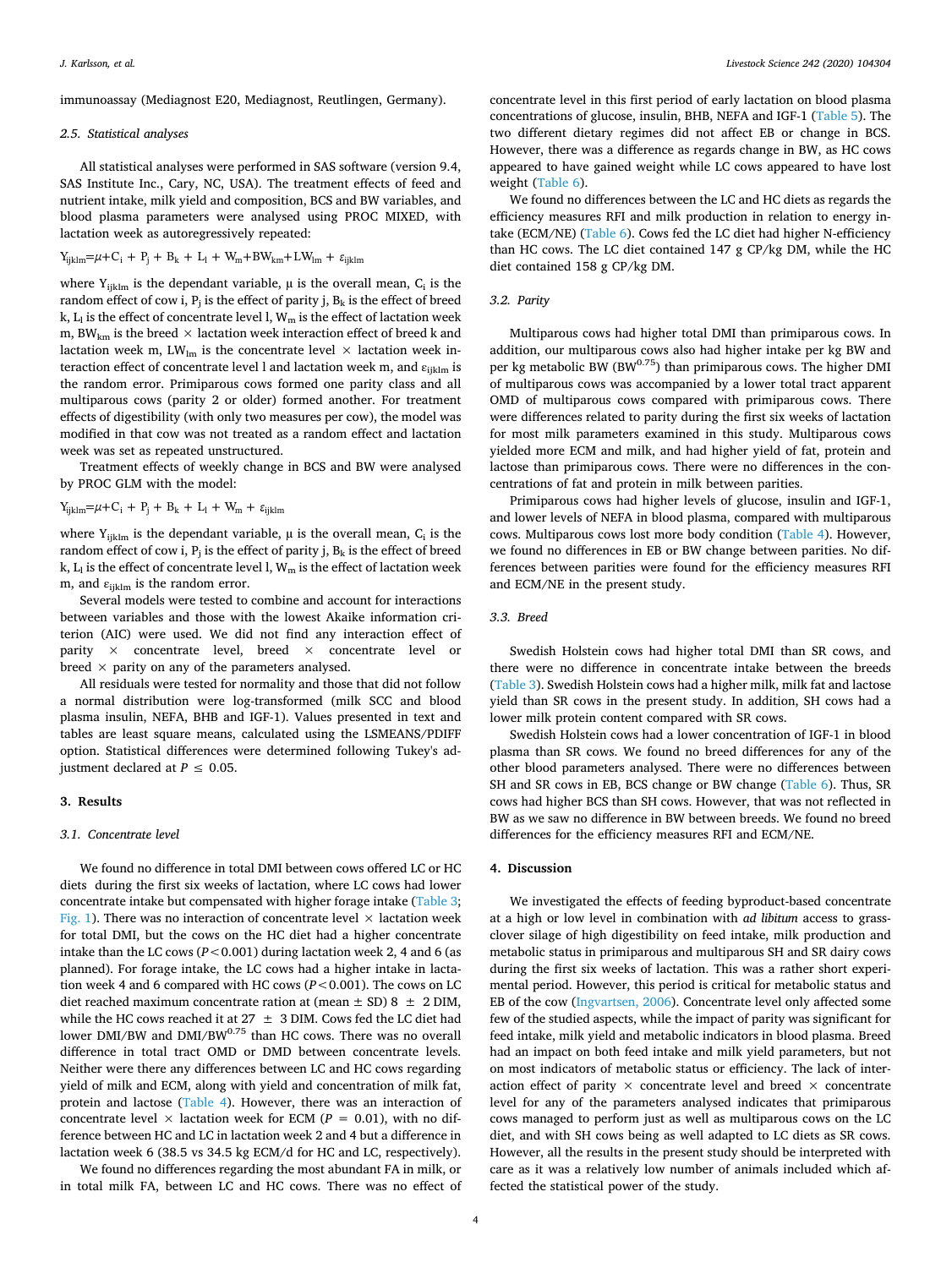immunoassay (Mediagnost E20, Mediagnost, Reutlingen, Germany).

# *2.5. Statistical analyses*

All statistical analyses were performed in SAS software (version 9.4, SAS Institute Inc., Cary, NC, USA). The treatment effects of feed and nutrient intake, milk yield and composition, BCS and BW variables, and blood plasma parameters were analysed using PROC MIXED, with lactation week as autoregressively repeated:

$$
Y_{ijklm}{=}\mu{+}C_i + P_j + B_k + L_l + W_m{+}BW_{km}{+}L W_{lm} + \epsilon_{ijklm}
$$

where  $Y_{ijklm}$  is the dependant variable,  $\mu$  is the overall mean,  $C_i$  is the random effect of cow i, P<sub>i</sub> is the effect of parity i,  $B_k$  is the effect of breed k,  $L_1$  is the effect of concentrate level l,  $W_m$  is the effect of lactation week m, BW<sub>km</sub> is the breed  $\times$  lactation week interaction effect of breed k and lactation week m,  $LW_{lm}$  is the concentrate level  $\times$  lactation week interaction effect of concentrate level l and lactation week m, and  $\varepsilon_{\text{iiklm}}$  is the random error. Primiparous cows formed one parity class and all multiparous cows (parity 2 or older) formed another. For treatment effects of digestibility (with only two measures per cow), the model was modified in that cow was not treated as a random effect and lactation week was set as repeated unstructured.

Treatment effects of weekly change in BCS and BW were analysed by PROC GLM with the model:

 $Y_{ijklm} = \mu + C_i + P_j + B_k + L_l + W_m + \varepsilon_{ijklm}$ 

where  $Y_{iiklm}$  is the dependant variable,  $\mu$  is the overall mean,  $C_i$  is the random effect of cow i,  $P_i$  is the effect of parity j,  $B_k$  is the effect of breed k,  $\mathrm{L}_\mathrm{l}$  is the effect of concentrate level l,  $\mathrm{W}_\mathrm{m}$  is the effect of lactation week m, and  $\varepsilon_{ijklm}$  is the random error.

Several models were tested to combine and account for interactions between variables and those with the lowest Akaike information criterion (AIC) were used. We did not find any interaction effect of parity  $\times$  concentrate level, breed  $\times$  concentrate level or breed  $\times$  parity on any of the parameters analysed.

All residuals were tested for normality and those that did not follow a normal distribution were log-transformed (milk SCC and blood plasma insulin, NEFA, BHB and IGF-1). Values presented in text and tables are least square means, calculated using the LSMEANS/PDIFF option. Statistical differences were determined following Tukey's adjustment declared at  $P \leq 0.05$ .

#### **3. Results**

#### *3.1. Concentrate level*

We found no difference in total DMI between cows offered LC or HC diets during the first six weeks of lactation, where LC cows had lower concentrate intake but compensated with higher forage intake [\(Table 3](#page-4-0); [Fig. 1\)](#page-4-1). There was no interaction of concentrate level  $\times$  lactation week for total DMI, but the cows on the HC diet had a higher concentrate intake than the LC cows ( $P < 0.001$ ) during lactation week 2, 4 and 6 (as planned). For forage intake, the LC cows had a higher intake in lactation week 4 and 6 compared with HC cows (*P*<0.001). The cows on LC diet reached maximum concentrate ration at (mean  $\pm$  SD) 8  $\pm$  2 DIM, while the HC cows reached it at 27  $\pm$  3 DIM. Cows fed the LC diet had lower DMI/BW and DMI/BW0.75 than HC cows. There was no overall difference in total tract OMD or DMD between concentrate levels. Neither were there any differences between LC and HC cows regarding yield of milk and ECM, along with yield and concentration of milk fat, protein and lactose [\(Table 4](#page-5-0)). However, there was an interaction of concentrate level  $\times$  lactation week for ECM ( $P = 0.01$ ), with no difference between HC and LC in lactation week 2 and 4 but a difference in lactation week 6 (38.5 vs 34.5 kg ECM/d for HC and LC, respectively).

We found no differences regarding the most abundant FA in milk, or in total milk FA, between LC and HC cows. There was no effect of

concentrate level in this first period of early lactation on blood plasma concentrations of glucose, insulin, BHB, NEFA and IGF-1 ([Table 5\)](#page-5-1). The two different dietary regimes did not affect EB or change in BCS. However, there was a difference as regards change in BW, as HC cows appeared to have gained weight while LC cows appeared to have lost weight [\(Table 6\)](#page-5-2).

We found no differences between the LC and HC diets as regards the efficiency measures RFI and milk production in relation to energy intake (ECM/NE) ([Table 6](#page-5-2)). Cows fed the LC diet had higher N-efficiency than HC cows. The LC diet contained 147 g CP/kg DM, while the HC diet contained 158 g CP/kg DM.

#### *3.2. Parity*

Multiparous cows had higher total DMI than primiparous cows. In addition, our multiparous cows also had higher intake per kg BW and per kg metabolic BW (BW $^{0.75}$ ) than primiparous cows. The higher DMI of multiparous cows was accompanied by a lower total tract apparent OMD of multiparous cows compared with primiparous cows. There were differences related to parity during the first six weeks of lactation for most milk parameters examined in this study. Multiparous cows yielded more ECM and milk, and had higher yield of fat, protein and lactose than primiparous cows. There were no differences in the concentrations of fat and protein in milk between parities.

Primiparous cows had higher levels of glucose, insulin and IGF-1, and lower levels of NEFA in blood plasma, compared with multiparous cows. Multiparous cows lost more body condition [\(Table 4\)](#page-5-0). However, we found no differences in EB or BW change between parities. No differences between parities were found for the efficiency measures RFI and ECM/NE in the present study.

# *3.3. Breed*

Swedish Holstein cows had higher total DMI than SR cows, and there were no difference in concentrate intake between the breeds ([Table 3\)](#page-4-0). Swedish Holstein cows had a higher milk, milk fat and lactose yield than SR cows in the present study. In addition, SH cows had a lower milk protein content compared with SR cows.

Swedish Holstein cows had a lower concentration of IGF-1 in blood plasma than SR cows. We found no breed differences for any of the other blood parameters analysed. There were no differences between SH and SR cows in EB, BCS change or BW change ([Table 6](#page-5-2)). Thus, SR cows had higher BCS than SH cows. However, that was not reflected in BW as we saw no difference in BW between breeds. We found no breed differences for the efficiency measures RFI and ECM/NE.

# **4. Discussion**

We investigated the effects of feeding byproduct-based concentrate at a high or low level in combination with *ad libitum* access to grassclover silage of high digestibility on feed intake, milk production and metabolic status in primiparous and multiparous SH and SR dairy cows during the first six weeks of lactation. This was a rather short experimental period. However, this period is critical for metabolic status and EB of the cow ([Ingvartsen, 2006](#page-7-12)). Concentrate level only affected some few of the studied aspects, while the impact of parity was significant for feed intake, milk yield and metabolic indicators in blood plasma. Breed had an impact on both feed intake and milk yield parameters, but not on most indicators of metabolic status or efficiency. The lack of interaction effect of parity  $\times$  concentrate level and breed  $\times$  concentrate level for any of the parameters analysed indicates that primiparous cows managed to perform just as well as multiparous cows on the LC diet, and with SH cows being as well adapted to LC diets as SR cows. However, all the results in the present study should be interpreted with care as it was a relatively low number of animals included which affected the statistical power of the study.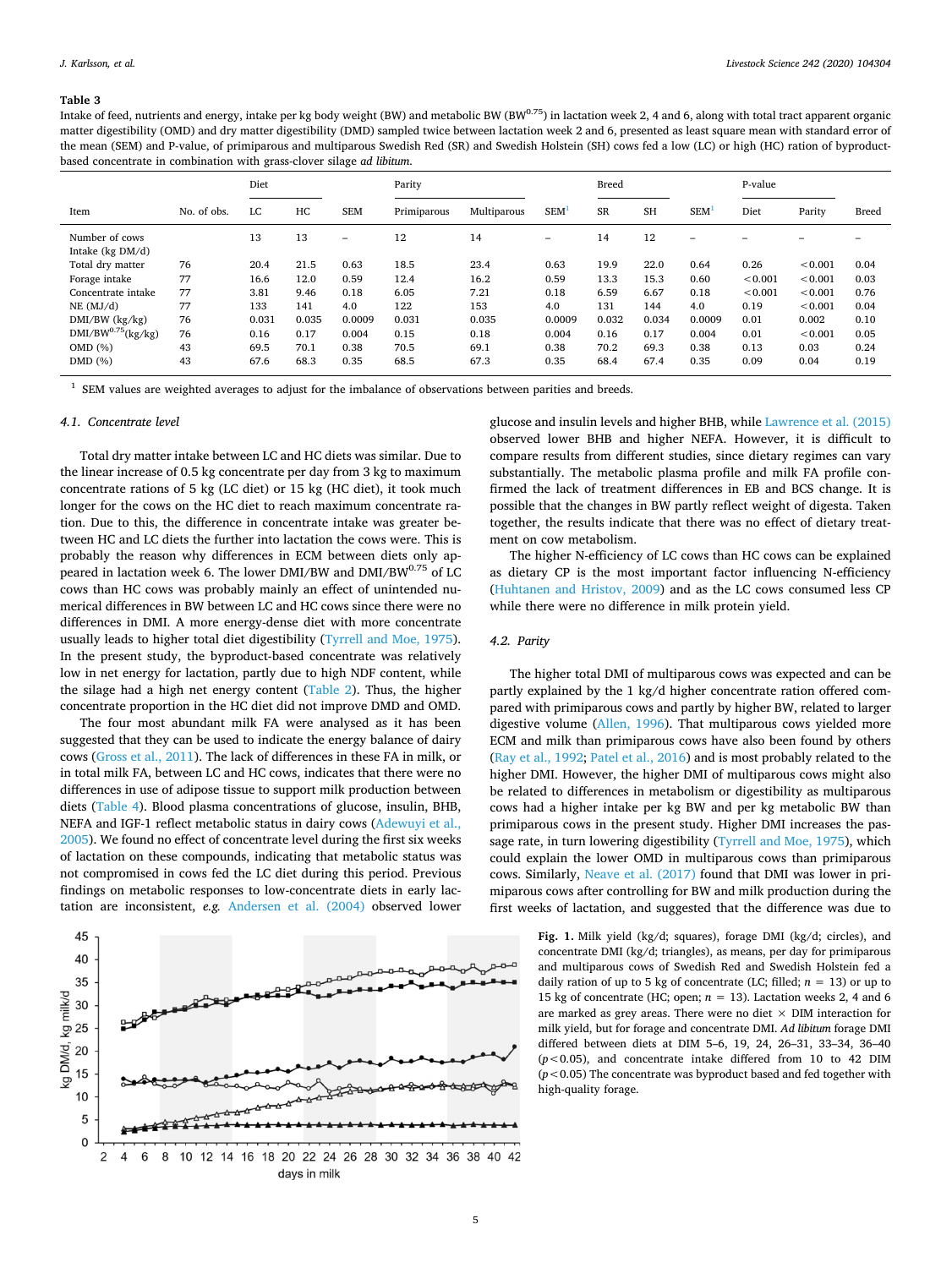#### <span id="page-4-0"></span>**Table 3**

Intake of feed, nutrients and energy, intake per kg body weight (BW) and metabolic BW (BW0.75) in lactation week 2, 4 and 6, along with total tract apparent organic matter digestibility (OMD) and dry matter digestibility (DMD) sampled twice between lactation week 2 and 6, presented as least square mean with standard error of the mean (SEM) and P-value, of primiparous and multiparous Swedish Red (SR) and Swedish Holstein (SH) cows fed a low (LC) or high (HC) ration of byproductbased concentrate in combination with grass-clover silage *ad libitum*.

|                                        |             | Diet  |       | Parity                   |             |             | <b>Breed</b>     |           |           | P-value          |               |         |              |
|----------------------------------------|-------------|-------|-------|--------------------------|-------------|-------------|------------------|-----------|-----------|------------------|---------------|---------|--------------|
| Item                                   | No. of obs. | LC    | HC    | <b>SEM</b>               | Primiparous | Multiparous | SEM <sup>1</sup> | <b>SR</b> | <b>SH</b> | SEM <sup>1</sup> | Diet          | Parity  | <b>Breed</b> |
| Number of cows<br>Intake ( $kg DM/d$ ) |             | 13    | 13    | $\overline{\phantom{0}}$ | 12          | 14          | -                | 14        | 12        | -                |               |         |              |
| Total dry matter                       | 76          | 20.4  | 21.5  | 0.63                     | 18.5        | 23.4        | 0.63             | 19.9      | 22.0      | 0.64             | 0.26          | < 0.001 | 0.04         |
| Forage intake                          | 77          | 16.6  | 12.0  | 0.59                     | 12.4        | 16.2        | 0.59             | 13.3      | 15.3      | 0.60             | ${}_{<0.001}$ | < 0.001 | 0.03         |
| Concentrate intake                     | 77          | 3.81  | 9.46  | 0.18                     | 6.05        | 7.21        | 0.18             | 6.59      | 6.67      | 0.18             | < 0.001       | < 0.001 | 0.76         |
| NE (MJ/d)                              | 77          | 133   | 141   | 4.0                      | 122         | 153         | 4.0              | 131       | 144       | 4.0              | 0.19          | < 0.001 | 0.04         |
| $DMI/BW$ ( $kg/kg$ )                   | 76          | 0.031 | 0.035 | 0.0009                   | 0.031       | 0.035       | 0.0009           | 0.032     | 0.034     | 0.0009           | 0.01          | 0.002   | 0.10         |
| $DMI/BW^{0.75}$ (kg/kg)                | 76          | 0.16  | 0.17  | 0.004                    | 0.15        | 0.18        | 0.004            | 0.16      | 0.17      | 0.004            | 0.01          | < 0.001 | 0.05         |
| OMD (%)                                | 43          | 69.5  | 70.1  | 0.38                     | 70.5        | 69.1        | 0.38             | 70.2      | 69.3      | 0.38             | 0.13          | 0.03    | 0.24         |
| DMD (%)                                | 43          | 67.6  | 68.3  | 0.35                     | 68.5        | 67.3        | 0.35             | 68.4      | 67.4      | 0.35             | 0.09          | 0.04    | 0.19         |

<span id="page-4-2"></span>SEM values are weighted averages to adjust for the imbalance of observations between parities and breeds.

# *4.1. Concentrate level*

Total dry matter intake between LC and HC diets was similar. Due to the linear increase of 0.5 kg concentrate per day from 3 kg to maximum concentrate rations of 5 kg (LC diet) or 15 kg (HC diet), it took much longer for the cows on the HC diet to reach maximum concentrate ration. Due to this, the difference in concentrate intake was greater between HC and LC diets the further into lactation the cows were. This is probably the reason why differences in ECM between diets only appeared in lactation week 6. The lower DMI/BW and DMI/BW $^{0.75}$  of LC cows than HC cows was probably mainly an effect of unintended numerical differences in BW between LC and HC cows since there were no differences in DMI. A more energy-dense diet with more concentrate usually leads to higher total diet digestibility [\(Tyrrell and Moe, 1975](#page-7-30)). In the present study, the byproduct-based concentrate was relatively low in net energy for lactation, partly due to high NDF content, while the silage had a high net energy content ([Table 2](#page-1-1)). Thus, the higher concentrate proportion in the HC diet did not improve DMD and OMD.

The four most abundant milk FA were analysed as it has been suggested that they can be used to indicate the energy balance of dairy cows [\(Gross et al., 2011](#page-7-31)). The lack of differences in these FA in milk, or in total milk FA, between LC and HC cows, indicates that there were no differences in use of adipose tissue to support milk production between diets [\(Table 4](#page-5-0)). Blood plasma concentrations of glucose, insulin, BHB, NEFA and IGF-1 reflect metabolic status in dairy cows [\(Adewuyi et al.,](#page-6-0) [2005\)](#page-6-0). We found no effect of concentrate level during the first six weeks of lactation on these compounds, indicating that metabolic status was not compromised in cows fed the LC diet during this period. Previous findings on metabolic responses to low-concentrate diets in early lactation are inconsistent, *e.g.* [Andersen et al. \(2004\)](#page-7-32) observed lower

<span id="page-4-1"></span>

glucose and insulin levels and higher BHB, while [Lawrence et al. \(2015\)](#page-7-33) observed lower BHB and higher NEFA. However, it is difficult to compare results from different studies, since dietary regimes can vary substantially. The metabolic plasma profile and milk FA profile confirmed the lack of treatment differences in EB and BCS change. It is possible that the changes in BW partly reflect weight of digesta. Taken together, the results indicate that there was no effect of dietary treatment on cow metabolism.

The higher N-efficiency of LC cows than HC cows can be explained as dietary CP is the most important factor influencing N-efficiency ([Huhtanen and Hristov, 2009](#page-7-34)) and as the LC cows consumed less CP while there were no difference in milk protein yield.

# *4.2. Parity*

The higher total DMI of multiparous cows was expected and can be partly explained by the 1 kg/d higher concentrate ration offered compared with primiparous cows and partly by higher BW, related to larger digestive volume ([Allen, 1996\)](#page-7-35). That multiparous cows yielded more ECM and milk than primiparous cows have also been found by others ([Ray et al., 1992](#page-7-36); [Patel et al., 2016](#page-7-37)) and is most probably related to the higher DMI. However, the higher DMI of multiparous cows might also be related to differences in metabolism or digestibility as multiparous cows had a higher intake per kg BW and per kg metabolic BW than primiparous cows in the present study. Higher DMI increases the passage rate, in turn lowering digestibility [\(Tyrrell and Moe, 1975\)](#page-7-30), which could explain the lower OMD in multiparous cows than primiparous cows. Similarly, [Neave et al. \(2017\)](#page-7-38) found that DMI was lower in primiparous cows after controlling for BW and milk production during the first weeks of lactation, and suggested that the difference was due to

> **Fig. 1.** Milk yield (kg/d; squares), forage DMI (kg/d; circles), and concentrate DMI (kg/d; triangles), as means, per day for primiparous and multiparous cows of Swedish Red and Swedish Holstein fed a daily ration of up to 5 kg of concentrate (LC; filled;  $n = 13$ ) or up to 15 kg of concentrate (HC; open;  $n = 13$ ). Lactation weeks 2, 4 and 6 are marked as grey areas. There were no diet  $\times$  DIM interaction for milk yield, but for forage and concentrate DMI. *Ad libitum* forage DMI differed between diets at DIM 5–6, 19, 24, 26–31, 33–34, 36–40 (*p*<0.05), and concentrate intake differed from 10 to 42 DIM (*p*<0.05) The concentrate was byproduct based and fed together with high-quality forage.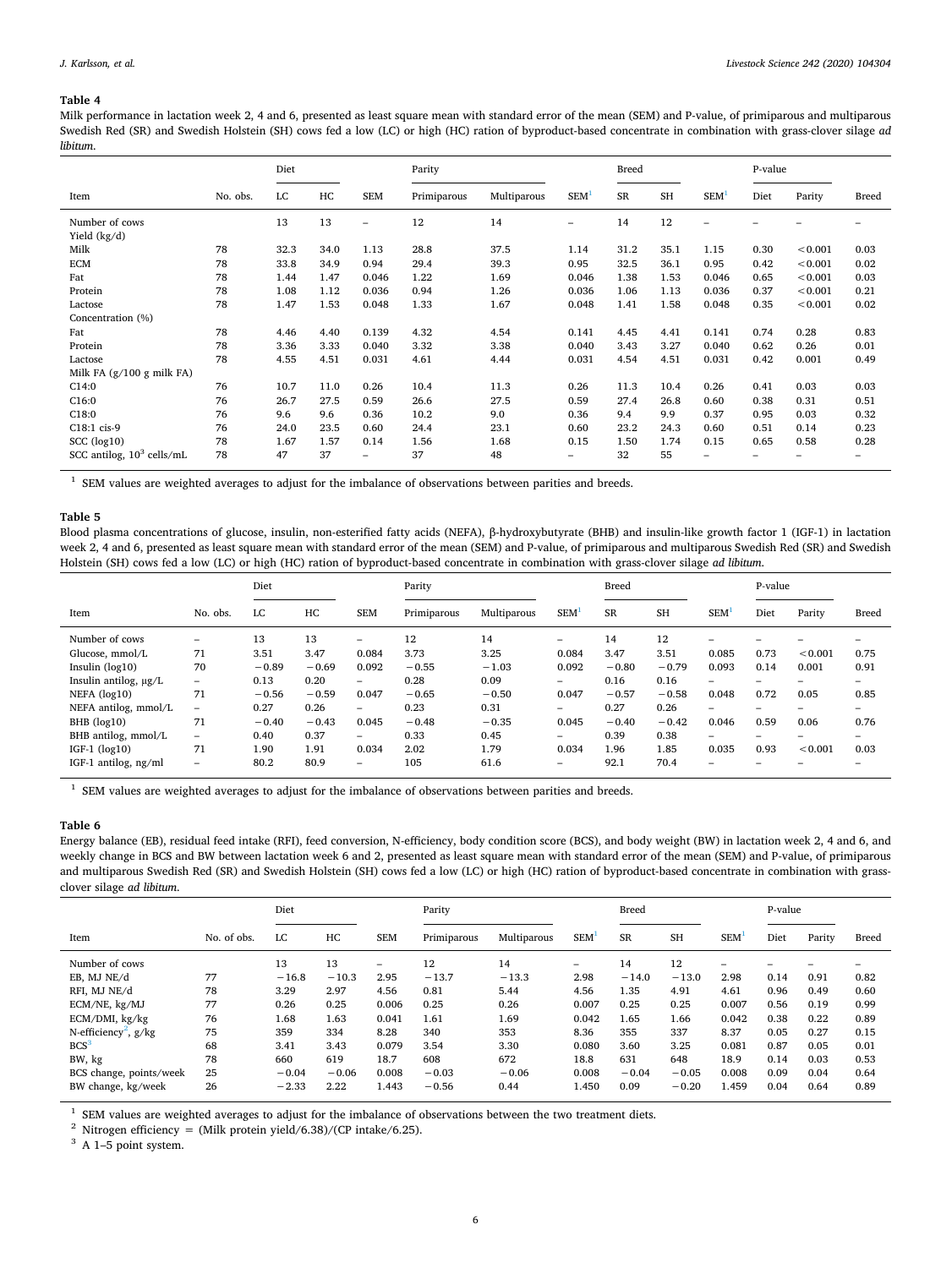# <span id="page-5-0"></span>**Table 4**

Milk performance in lactation week 2, 4 and 6, presented as least square mean with standard error of the mean (SEM) and P-value, of primiparous and multiparous Swedish Red (SR) and Swedish Holstein (SH) cows fed a low (LC) or high (HC) ration of byproduct-based concentrate in combination with grass-clover silage *ad libitum*.

|                                |          | Diet |      |                          | Parity      |             | <b>Breed</b>             |           | P-value   |                  |      |         |              |
|--------------------------------|----------|------|------|--------------------------|-------------|-------------|--------------------------|-----------|-----------|------------------|------|---------|--------------|
| Item                           | No. obs. | LC   | HC   | <b>SEM</b>               | Primiparous | Multiparous | SEM <sup>1</sup>         | <b>SR</b> | <b>SH</b> | SEM <sup>1</sup> | Diet | Parity  | <b>Breed</b> |
| Number of cows<br>Yield (kg/d) |          | 13   | 13   | $\overline{\phantom{0}}$ | 12          | 14          | $\overline{\phantom{0}}$ | 14        | 12        | $\equiv$         |      |         |              |
| Milk                           | 78       | 32.3 | 34.0 | 1.13                     | 28.8        | 37.5        | 1.14                     | 31.2      | 35.1      | 1.15             | 0.30 | < 0.001 | 0.03         |
| <b>ECM</b>                     | 78       | 33.8 | 34.9 | 0.94                     | 29.4        | 39.3        | 0.95                     | 32.5      | 36.1      | 0.95             | 0.42 | < 0.001 | 0.02         |
| Fat                            | 78       | 1.44 | 1.47 | 0.046                    | 1.22        | 1.69        | 0.046                    | 1.38      | 1.53      | 0.046            | 0.65 | < 0.001 | 0.03         |
| Protein                        | 78       | 1.08 | 1.12 | 0.036                    | 0.94        | 1.26        | 0.036                    | 1.06      | 1.13      | 0.036            | 0.37 | < 0.001 | 0.21         |
| Lactose                        | 78       | 1.47 | 1.53 | 0.048                    | 1.33        | 1.67        | 0.048                    | 1.41      | 1.58      | 0.048            | 0.35 | < 0.001 | 0.02         |
| Concentration (%)              |          |      |      |                          |             |             |                          |           |           |                  |      |         |              |
| Fat                            | 78       | 4.46 | 4.40 | 0.139                    | 4.32        | 4.54        | 0.141                    | 4.45      | 4.41      | 0.141            | 0.74 | 0.28    | 0.83         |
| Protein                        | 78       | 3.36 | 3.33 | 0.040                    | 3.32        | 3.38        | 0.040                    | 3.43      | 3.27      | 0.040            | 0.62 | 0.26    | 0.01         |
| Lactose                        | 78       | 4.55 | 4.51 | 0.031                    | 4.61        | 4.44        | 0.031                    | 4.54      | 4.51      | 0.031            | 0.42 | 0.001   | 0.49         |
| Milk FA (g/100 g milk FA)      |          |      |      |                          |             |             |                          |           |           |                  |      |         |              |
| C14:0                          | 76       | 10.7 | 11.0 | 0.26                     | 10.4        | 11.3        | 0.26                     | 11.3      | 10.4      | 0.26             | 0.41 | 0.03    | 0.03         |
| C16:0                          | 76       | 26.7 | 27.5 | 0.59                     | 26.6        | 27.5        | 0.59                     | 27.4      | 26.8      | 0.60             | 0.38 | 0.31    | 0.51         |
| C18:0                          | 76       | 9.6  | 9.6  | 0.36                     | 10.2        | 9.0         | 0.36                     | 9.4       | 9.9       | 0.37             | 0.95 | 0.03    | 0.32         |
| C18:1 cis-9                    | 76       | 24.0 | 23.5 | 0.60                     | 24.4        | 23.1        | 0.60                     | 23.2      | 24.3      | 0.60             | 0.51 | 0.14    | 0.23         |
| $SCC$ ( $log10$ )              | 78       | 1.67 | 1.57 | 0.14                     | 1.56        | 1.68        | 0.15                     | 1.50      | 1.74      | 0.15             | 0.65 | 0.58    | 0.28         |
| SCC antilog, $10^3$ cells/mL   | 78       | 47   | 37   | -                        | 37          | 48          | -                        | 32        | 55        |                  |      |         |              |

<span id="page-5-3"></span> $1$  SEM values are weighted averages to adjust for the imbalance of observations between parities and breeds.

### <span id="page-5-1"></span>**Table 5**

Blood plasma concentrations of glucose, insulin, non-esterified fatty acids (NEFA), β-hydroxybutyrate (BHB) and insulin-like growth factor 1 (IGF-1) in lactation week 2, 4 and 6, presented as least square mean with standard error of the mean (SEM) and P-value, of primiparous and multiparous Swedish Red (SR) and Swedish Holstein (SH) cows fed a low (LC) or high (HC) ration of byproduct-based concentrate in combination with grass-clover silage *ad libitum*.

|                       |                          | Diet    |         |                          | Parity      |             |            | <b>Breed</b> |           |            | P-value                  |         |                          |
|-----------------------|--------------------------|---------|---------|--------------------------|-------------|-------------|------------|--------------|-----------|------------|--------------------------|---------|--------------------------|
| Item                  | No. obs.                 | LC      | HC      | <b>SEM</b>               | Primiparous | Multiparous | <b>SEM</b> | <b>SR</b>    | <b>SH</b> | <b>SEM</b> | Diet                     | Parity  | <b>Breed</b>             |
| Number of cows        | -                        | 13      | 13      | $\overline{\phantom{0}}$ | 12          | 14          | -          | 14           | 12        | -          |                          |         |                          |
| Glucose, mmol/L       | 71                       | 3.51    | 3.47    | 0.084                    | 3.73        | 3.25        | 0.084      | 3.47         | 3.51      | 0.085      | 0.73                     | < 0.001 | 0.75                     |
| Insulin $(log10)$     | 70                       | $-0.89$ | $-0.69$ | 0.092                    | $-0.55$     | $-1.03$     | 0.092      | $-0.80$      | $-0.79$   | 0.093      | 0.14                     | 0.001   | 0.91                     |
| Insulin antilog, µg/L | $\overline{\phantom{0}}$ | 0.13    | 0.20    | $\overline{\phantom{0}}$ | 0.28        | 0.09        | -          | 0.16         | 0.16      | -          | $\overline{\phantom{0}}$ |         | $\overline{\phantom{0}}$ |
| NEFA (log10)          | 71                       | $-0.56$ | $-0.59$ | 0.047                    | $-0.65$     | $-0.50$     | 0.047      | $-0.57$      | $-0.58$   | 0.048      | 0.72                     | 0.05    | 0.85                     |
| NEFA antilog, mmol/L  | -                        | 0.27    | 0.26    | $\overline{\phantom{0}}$ | 0.23        | 0.31        | -          | 0.27         | 0.26      | -          | -                        | -       | -                        |
| BHB (log10)           | 71                       | $-0.40$ | $-0.43$ | 0.045                    | $-0.48$     | $-0.35$     | 0.045      | $-0.40$      | $-0.42$   | 0.046      | 0.59                     | 0.06    | 0.76                     |
| BHB antilog, mmol/L   | $\overline{\phantom{0}}$ | 0.40    | 0.37    | $-$                      | 0.33        | 0.45        | -          | 0.39         | 0.38      | -          | -                        | -       | $\overline{\phantom{a}}$ |
| $IGF-1$ $(log10)$     | 71                       | 1.90    | 1.91    | 0.034                    | 2.02        | 1.79        | 0.034      | 1.96         | 1.85      | 0.035      | 0.93                     | < 0.001 | 0.03                     |
| IGF-1 antilog, ng/ml  | -                        | 80.2    | 80.9    | -                        | 105         | 61.6        | -          | 92.1         | 70.4      | -          |                          |         |                          |

<span id="page-5-4"></span> $1$  SEM values are weighted averages to adjust for the imbalance of observations between parities and breeds.

# <span id="page-5-2"></span>**Table 6**

Energy balance (EB), residual feed intake (RFI), feed conversion, N-efficiency, body condition score (BCS), and body weight (BW) in lactation week 2, 4 and 6, and weekly change in BCS and BW between lactation week 6 and 2, presented as least square mean with standard error of the mean (SEM) and P-value, of primiparous and multiparous Swedish Red (SR) and Swedish Holstein (SH) cows fed a low (LC) or high (HC) ration of byproduct-based concentrate in combination with grassclover silage *ad libitum*.

| $\sim$                             |             | Diet    |         |            | Parity      |             | Breed                    |           |           | P-value    |      |        |       |
|------------------------------------|-------------|---------|---------|------------|-------------|-------------|--------------------------|-----------|-----------|------------|------|--------|-------|
|                                    |             |         |         |            |             |             |                          |           |           |            |      |        |       |
| Item                               | No. of obs. | LC      | HC      | <b>SEM</b> | Primiparous | Multiparous | <b>SEM</b>               | <b>SR</b> | <b>SH</b> | <b>SEM</b> | Diet | Parity | Breed |
| Number of cows                     |             | 13      | 13      | -          | 12          | 14          | $\overline{\phantom{0}}$ | 14        | 12        | -          |      |        |       |
| EB. MJ NE/d                        | 77          | $-16.8$ | $-10.3$ | 2.95       | $-13.7$     | $-13.3$     | 2.98                     | $-14.0$   | $-13.0$   | 2.98       | 0.14 | 0.91   | 0.82  |
| RFI. MJ NE/d                       | 78          | 3.29    | 2.97    | 4.56       | 0.81        | 5.44        | 4.56                     | 1.35      | 4.91      | 4.61       | 0.96 | 0.49   | 0.60  |
| ECM/NE, kg/MJ                      | 77          | 0.26    | 0.25    | 0.006      | 0.25        | 0.26        | 0.007                    | 0.25      | 0.25      | 0.007      | 0.56 | 0.19   | 0.99  |
| ECM/DMI, kg/kg                     | 76          | 1.68    | 1.63    | 0.041      | 1.61        | 1.69        | 0.042                    | 1.65      | 1.66      | 0.042      | 0.38 | 0.22   | 0.89  |
| N-efficiency <sup>2</sup> , $g/kg$ | 75          | 359     | 334     | 8.28       | 340         | 353         | 8.36                     | 355       | 337       | 8.37       | 0.05 | 0.27   | 0.15  |
| BCS <sup>3</sup>                   | 68          | 3.41    | 3.43    | 0.079      | 3.54        | 3.30        | 0.080                    | 3.60      | 3.25      | 0.081      | 0.87 | 0.05   | 0.01  |
| BW, kg                             | 78          | 660     | 619     | 18.7       | 608         | 672         | 18.8                     | 631       | 648       | 18.9       | 0.14 | 0.03   | 0.53  |
| BCS change, points/week            | 25          | $-0.04$ | $-0.06$ | 0.008      | $-0.03$     | $-0.06$     | 0.008                    | $-0.04$   | $-0.05$   | 0.008      | 0.09 | 0.04   | 0.64  |
| BW change, kg/week                 | 26          | $-2.33$ | 2.22    | 1.443      | $-0.56$     | 0.44        | 1.450                    | 0.09      | $-0.20$   | 1.459      | 0.04 | 0.64   | 0.89  |

<span id="page-5-5"></span><sup>1</sup> SEM values are weighted averages to adjust for the imbalance of observations between the two treatment diets.

<span id="page-5-6"></span><sup>2</sup> Nitrogen efficiency = (Milk protein yield/6.38)/(CP intake/6.25).

<span id="page-5-7"></span> $3$  A 1–5 point system.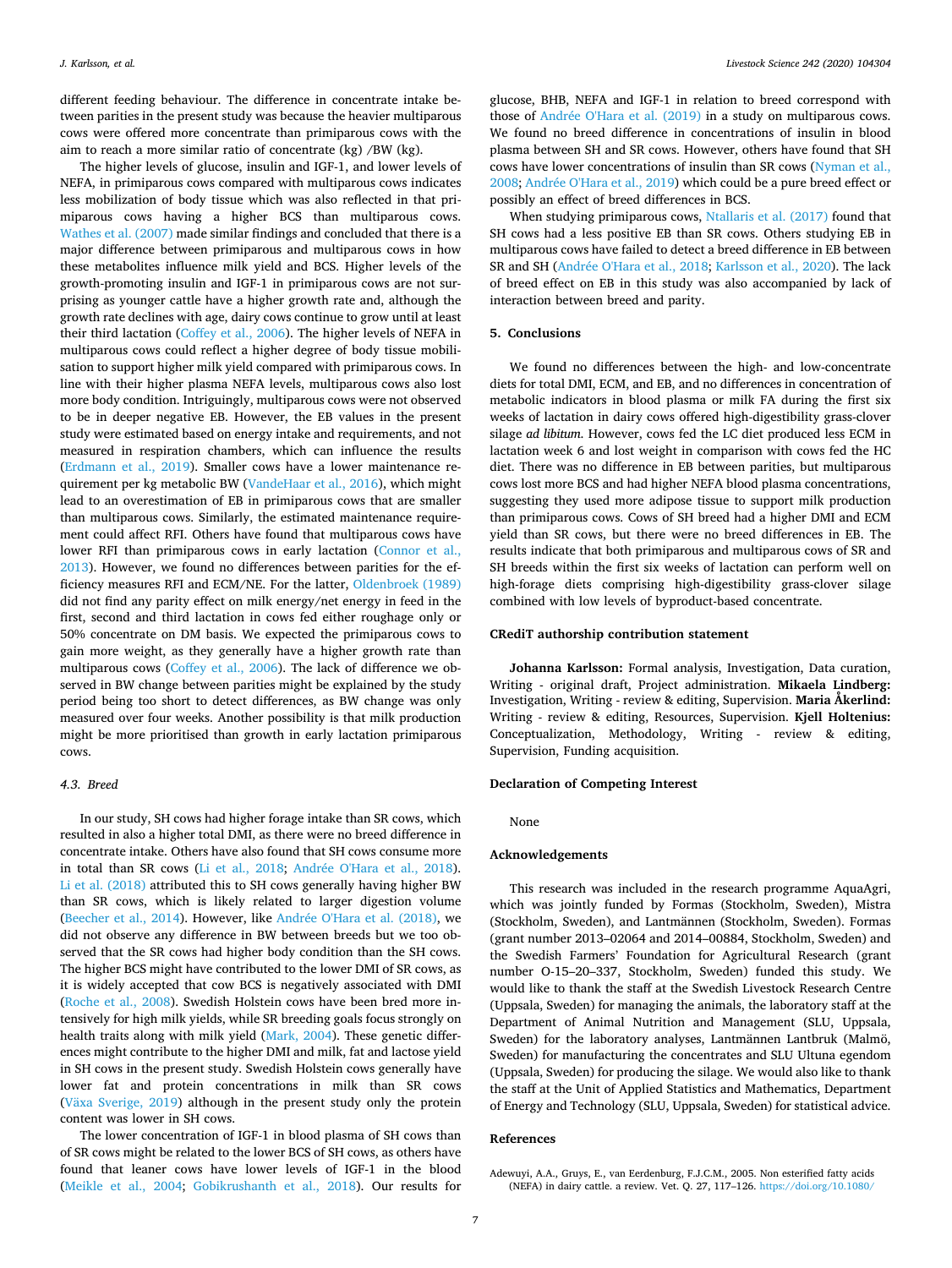different feeding behaviour. The difference in concentrate intake between parities in the present study was because the heavier multiparous cows were offered more concentrate than primiparous cows with the aim to reach a more similar ratio of concentrate (kg) /BW (kg).

The higher levels of glucose, insulin and IGF-1, and lower levels of NEFA, in primiparous cows compared with multiparous cows indicates less mobilization of body tissue which was also reflected in that primiparous cows having a higher BCS than multiparous cows. [Wathes et al. \(2007\)](#page-8-0) made similar findings and concluded that there is a major difference between primiparous and multiparous cows in how these metabolites influence milk yield and BCS. Higher levels of the growth-promoting insulin and IGF-1 in primiparous cows are not surprising as younger cattle have a higher growth rate and, although the growth rate declines with age, dairy cows continue to grow until at least their third lactation ([Coffey et al., 2006\)](#page-7-39). The higher levels of NEFA in multiparous cows could reflect a higher degree of body tissue mobilisation to support higher milk yield compared with primiparous cows. In line with their higher plasma NEFA levels, multiparous cows also lost more body condition. Intriguingly, multiparous cows were not observed to be in deeper negative EB. However, the EB values in the present study were estimated based on energy intake and requirements, and not measured in respiration chambers, which can influence the results ([Erdmann et al., 2019\)](#page-7-40). Smaller cows have a lower maintenance requirement per kg metabolic BW [\(VandeHaar et al., 2016\)](#page-8-2), which might lead to an overestimation of EB in primiparous cows that are smaller than multiparous cows. Similarly, the estimated maintenance requirement could affect RFI. Others have found that multiparous cows have lower RFI than primiparous cows in early lactation [\(Connor et al.,](#page-7-41) [2013\)](#page-7-41). However, we found no differences between parities for the efficiency measures RFI and ECM/NE. For the latter, [Oldenbroek \(1989\)](#page-7-42) did not find any parity effect on milk energy/net energy in feed in the first, second and third lactation in cows fed either roughage only or 50% concentrate on DM basis. We expected the primiparous cows to gain more weight, as they generally have a higher growth rate than multiparous cows ([Coffey et al., 2006\)](#page-7-39). The lack of difference we observed in BW change between parities might be explained by the study period being too short to detect differences, as BW change was only measured over four weeks. Another possibility is that milk production might be more prioritised than growth in early lactation primiparous cows.

# *4.3. Breed*

In our study, SH cows had higher forage intake than SR cows, which resulted in also a higher total DMI, as there were no breed difference in concentrate intake. Others have also found that SH cows consume more in total than SR cows ([Li et al., 2018;](#page-7-43) [Andrée O'Hara et al., 2018](#page-7-14)). [Li et al. \(2018\)](#page-7-43) attributed this to SH cows generally having higher BW than SR cows, which is likely related to larger digestion volume ([Beecher et al., 2014\)](#page-7-44). However, like [Andrée O'Hara et al. \(2018\)](#page-7-14), we did not observe any difference in BW between breeds but we too observed that the SR cows had higher body condition than the SH cows. The higher BCS might have contributed to the lower DMI of SR cows, as it is widely accepted that cow BCS is negatively associated with DMI ([Roche et al., 2008\)](#page-7-45). Swedish Holstein cows have been bred more intensively for high milk yields, while SR breeding goals focus strongly on health traits along with milk yield [\(Mark, 2004\)](#page-7-46). These genetic differences might contribute to the higher DMI and milk, fat and lactose yield in SH cows in the present study. Swedish Holstein cows generally have lower fat and protein concentrations in milk than SR cows ([Växa Sverige, 2019](#page-8-3)) although in the present study only the protein content was lower in SH cows.

The lower concentration of IGF-1 in blood plasma of SH cows than of SR cows might be related to the lower BCS of SH cows, as others have found that leaner cows have lower levels of IGF-1 in the blood ([Meikle et al., 2004](#page-7-47); [Gobikrushanth et al., 2018\)](#page-7-48). Our results for

glucose, BHB, NEFA and IGF-1 in relation to breed correspond with those of [Andrée O'Hara et al. \(2019\)](#page-7-15) in a study on multiparous cows. We found no breed difference in concentrations of insulin in blood plasma between SH and SR cows. However, others have found that SH cows have lower concentrations of insulin than SR cows [\(Nyman et al.,](#page-7-49) [2008;](#page-7-49) [Andrée O'Hara et al., 2019](#page-7-15)) which could be a pure breed effect or possibly an effect of breed differences in BCS.

When studying primiparous cows, [Ntallaris et al. \(2017\)](#page-7-13) found that SH cows had a less positive EB than SR cows. Others studying EB in multiparous cows have failed to detect a breed difference in EB between SR and SH ([Andrée O'Hara et al., 2018](#page-7-14); [Karlsson et al., 2020](#page-7-50)). The lack of breed effect on EB in this study was also accompanied by lack of interaction between breed and parity.

# **5. Conclusions**

We found no differences between the high- and low-concentrate diets for total DMI, ECM, and EB, and no differences in concentration of metabolic indicators in blood plasma or milk FA during the first six weeks of lactation in dairy cows offered high-digestibility grass-clover silage *ad libitum*. However, cows fed the LC diet produced less ECM in lactation week 6 and lost weight in comparison with cows fed the HC diet. There was no difference in EB between parities, but multiparous cows lost more BCS and had higher NEFA blood plasma concentrations, suggesting they used more adipose tissue to support milk production than primiparous cows. Cows of SH breed had a higher DMI and ECM yield than SR cows, but there were no breed differences in EB. The results indicate that both primiparous and multiparous cows of SR and SH breeds within the first six weeks of lactation can perform well on high-forage diets comprising high-digestibility grass-clover silage combined with low levels of byproduct-based concentrate.

# **CRediT authorship contribution statement**

**Johanna Karlsson:** Formal analysis, Investigation, Data curation, Writing - original draft, Project administration. **Mikaela Lindberg:** Investigation, Writing - review & editing, Supervision. **Maria Åkerlind:** Writing - review & editing, Resources, Supervision. **Kjell Holtenius:** Conceptualization, Methodology, Writing - review & editing, Supervision, Funding acquisition.

### **Declaration of Competing Interest**

None

# **Acknowledgements**

This research was included in the research programme AquaAgri, which was jointly funded by Formas (Stockholm, Sweden), Mistra (Stockholm, Sweden), and Lantmännen (Stockholm, Sweden). Formas (grant number 2013–02064 and 2014–00884, Stockholm, Sweden) and the Swedish Farmers' Foundation for Agricultural Research (grant number O-15–20–337, Stockholm, Sweden) funded this study. We would like to thank the staff at the Swedish Livestock Research Centre (Uppsala, Sweden) for managing the animals, the laboratory staff at the Department of Animal Nutrition and Management (SLU, Uppsala, Sweden) for the laboratory analyses, Lantmännen Lantbruk (Malmö, Sweden) for manufacturing the concentrates and SLU Ultuna egendom (Uppsala, Sweden) for producing the silage. We would also like to thank the staff at the Unit of Applied Statistics and Mathematics, Department of Energy and Technology (SLU, Uppsala, Sweden) for statistical advice.

# **References**

<span id="page-6-0"></span>Adewuyi, A.A., Gruys, E., van Eerdenburg, F.J.C.M., 2005. Non esterified fatty acids (NEFA) in dairy cattle. a review. Vet. Q. 27, 117–126. [https://doi.org/10.1080/](https://doi.org/10.1080/01652176.2005.9695192)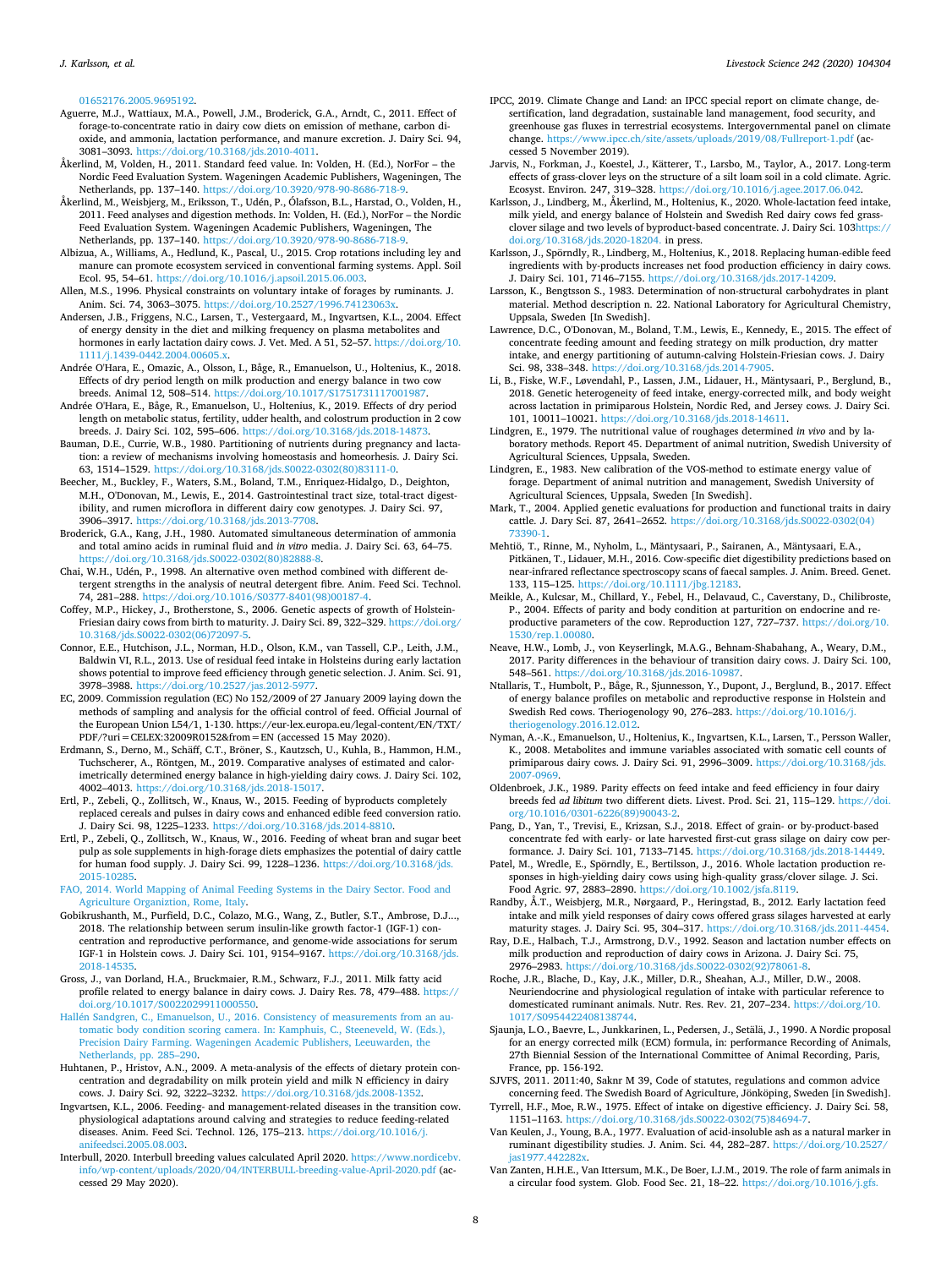[01652176.2005.9695192](https://doi.org/10.1080/01652176.2005.9695192).

- <span id="page-7-10"></span>Aguerre, M.J., Wattiaux, M.A., Powell, J.M., Broderick, G.A., Arndt, C., 2011. Effect of forage-to-concentrate ratio in dairy cow diets on emission of methane, carbon dioxide, and ammonia, lactation performance, and manure excretion. J. Dairy Sci. 94, 3081–3093. [https://doi.org/10.3168/jds.2010-4011.](https://doi.org/10.3168/jds.2010-4011)
- <span id="page-7-17"></span>Åkerlind, M, Volden, H., 2011. Standard feed value. In: Volden, H. (Ed.), NorFor – the Nordic Feed Evaluation System. Wageningen Academic Publishers, Wageningen, The Netherlands, pp. 137–140. [https://doi.org/10.3920/978-90-8686-718-9.](https://doi.org/10.3920/978-90-8686-718-9)
- <span id="page-7-21"></span>Åkerlind, M., Weisbjerg, M., Eriksson, T., Udén, P., Ólafsson, B.L., Harstad, O., Volden, H., 2011. Feed analyses and digestion methods. In: Volden, H. (Ed.), NorFor – the Nordic Feed Evaluation System. Wageningen Academic Publishers, Wageningen, The Netherlands, pp. 137–140. [https://doi.org/10.3920/978-90-8686-718-9.](https://doi.org/10.3920/978-90-8686-718-9)
- <span id="page-7-9"></span>Albizua, A., Williams, A., Hedlund, K., Pascal, U., 2015. Crop rotations including ley and manure can promote ecosystem serviced in conventional farming systems. Appl. Soil Ecol. 95, 54–61. [https://doi.org/10.1016/j.apsoil.2015.06.003.](https://doi.org/10.1016/j.apsoil.2015.06.003)
- <span id="page-7-35"></span>Allen, M.S., 1996. Physical constraints on voluntary intake of forages by ruminants. J. Anim. Sci. 74, 3063–3075. [https://doi.org/10.2527/1996.74123063x.](https://doi.org/10.2527/1996.74123063x)
- <span id="page-7-32"></span>Andersen, J.B., Friggens, N.C., Larsen, T., Vestergaard, M., Ingvartsen, K.L., 2004. Effect of energy density in the diet and milking frequency on plasma metabolites and hormones in early lactation dairy cows. J. Vet. Med. A 51, 52–57. [https://doi.org/10.](https://doi.org/10.1111/j.1439-0442.2004.00605.x) [1111/j.1439-0442.2004.00605.x](https://doi.org/10.1111/j.1439-0442.2004.00605.x).
- <span id="page-7-14"></span>Andrée O'Hara, E., Omazic, A., Olsson, I., Båge, R., Emanuelson, U., Holtenius, K., 2018. Effects of dry period length on milk production and energy balance in two cow breeds. Animal 12, 508–514. [https://doi.org/10.1017/S1751731117001987.](https://doi.org/10.1017/S1751731117001987)
- <span id="page-7-15"></span>Andrée O'Hara, E., Båge, R., Emanuelson, U., Holtenius, K., 2019. Effects of dry period length on metabolic status, fertility, udder health, and colostrum production in 2 cow breeds. J. Dairy Sci. 102, 595–606. [https://doi.org/10.3168/jds.2018-14873.](https://doi.org/10.3168/jds.2018-14873)
- <span id="page-7-11"></span>Bauman, D.E., Currie, W.B., 1980. Partitioning of nutrients during pregnancy and lactation: a review of mechanisms involving homeostasis and homeorhesis. J. Dairy Sci. 63, 1514–1529. [https://doi.org/10.3168/jds.S0022-0302\(80\)83111-0.](https://doi.org/10.3168/jds.S0022-0302(80)83111-0)
- <span id="page-7-44"></span>Beecher, M., Buckley, F., Waters, S.M., Boland, T.M., Enriquez-Hidalgo, D., Deighton, M.H., O'Donovan, M., Lewis, E., 2014. Gastrointestinal tract size, total-tract digestibility, and rumen microflora in different dairy cow genotypes. J. Dairy Sci. 97, 3906–3917. [https://doi.org/10.3168/jds.2013-7708.](https://doi.org/10.3168/jds.2013-7708)
- <span id="page-7-26"></span>Broderick, G.A., Kang, J.H., 1980. Automated simultaneous determination of ammonia and total amino acids in ruminal fluid and *in vitro* media. J. Dairy Sci. 63, 64–75. [https://doi.org/10.3168/jds.S0022-0302\(80\)82888-8.](https://doi.org/10.3168/jds.S0022-0302(80)82888-8)
- <span id="page-7-25"></span>Chai, W.H., Udén, P., 1998. An alternative oven method combined with different detergent strengths in the analysis of neutral detergent fibre. Anim. Feed Sci. Technol. 74, 281–288. [https://doi.org/10.1016/S0377-8401\(98\)00187-4.](https://doi.org/10.1016/S0377-8401(98)00187-4)
- <span id="page-7-39"></span>Coffey, M.P., Hickey, J., Brotherstone, S., 2006. Genetic aspects of growth of Holstein-Friesian dairy cows from birth to maturity. J. Dairy Sci. 89, 322–329. [https://doi.org/](https://doi.org/10.3168/jds.S0022-0302(06)72097-5) [10.3168/jds.S0022-0302\(06\)72097-5](https://doi.org/10.3168/jds.S0022-0302(06)72097-5).
- <span id="page-7-41"></span>Connor, E.E., Hutchison, J.L., Norman, H.D., Olson, K.M., van Tassell, C.P., Leith, J.M., Baldwin VI, R.L., 2013. Use of residual feed intake in Holsteins during early lactation shows potential to improve feed efficiency through genetic selection. J. Anim. Sci. 91, 3978–3988. <https://doi.org/10.2527/jas.2012-5977>.
- <span id="page-7-22"></span>EC, 2009. Commission regulation (EC) No 152/2009 of 27 January 2009 laying down the methods of sampling and analysis for the official control of feed. Official Journal of the European Union L54/1, 1-130. https://eur-lex.europa.eu/legal-content/EN/TXT/ PDF/?uri=CELEX:32009R0152&from=EN (accessed 15 May 2020).
- <span id="page-7-40"></span>Erdmann, S., Derno, M., Schäff, C.T., Bröner, S., Kautzsch, U., Kuhla, B., Hammon, H.M., Tuchscherer, A., Röntgen, M., 2019. Comparative analyses of estimated and calorimetrically determined energy balance in high-yielding dairy cows. J. Dairy Sci. 102, 4002–4013. <https://doi.org/10.3168/jds.2018-15017>.
- <span id="page-7-3"></span>Ertl, P., Zebeli, Q., Zollitsch, W., Knaus, W., 2015. Feeding of byproducts completely replaced cereals and pulses in dairy cows and enhanced edible feed conversion ratio. J. Dairy Sci. 98, 1225–1233. [https://doi.org/10.3168/jds.2014-8810.](https://doi.org/10.3168/jds.2014-8810)
- <span id="page-7-4"></span>Ertl, P., Zebeli, Q., Zollitsch, W., Knaus, W., 2016. Feeding of wheat bran and sugar beet pulp as sole supplements in high-forage diets emphasizes the potential of dairy cattle for human food supply. J. Dairy Sci. 99, 1228–1236. [https://doi.org/10.3168/jds.](https://doi.org/10.3168/jds.2015-10285) [2015-10285.](https://doi.org/10.3168/jds.2015-10285)
- <span id="page-7-2"></span>[FAO, 2014. World Mapping of Animal Feeding Systems in the Dairy Sector. Food and](http://refhub.elsevier.com/S1871-1413(20)30941-0/sbref0020) [Agriculture Organiztion, Rome, Italy.](http://refhub.elsevier.com/S1871-1413(20)30941-0/sbref0020)
- <span id="page-7-48"></span>Gobikrushanth, M., Purfield, D.C., Colazo, M.G., Wang, Z., Butler, S.T., Ambrose, D.J..., 2018. The relationship between serum insulin-like growth factor-1 (IGF-1) concentration and reproductive performance, and genome-wide associations for serum IGF-1 in Holstein cows. J. Dairy Sci. 101, 9154–9167. [https://doi.org/10.3168/jds.](https://doi.org/10.3168/jds.2018-14535) [2018-14535.](https://doi.org/10.3168/jds.2018-14535)
- <span id="page-7-31"></span>Gross, J., van Dorland, H.A., Bruckmaier, R.M., Schwarz, F.J., 2011. Milk fatty acid profile related to energy balance in dairy cows. J. Dairy Res. 78, 479–488. [https://](https://doi.org/10.1017/S0022029911000550) [doi.org/10.1017/S0022029911000550.](https://doi.org/10.1017/S0022029911000550)
- <span id="page-7-20"></span>[Hallén Sandgren, C., Emanuelson, U., 2016. Consistency of measurements from an au](http://refhub.elsevier.com/S1871-1413(20)30941-0/sbref0023)[tomatic body condition scoring camera. In: Kamphuis, C., Steeneveld, W. \(Eds.\),](http://refhub.elsevier.com/S1871-1413(20)30941-0/sbref0023) [Precision Dairy Farming. Wageningen Academic Publishers, Leeuwarden, the](http://refhub.elsevier.com/S1871-1413(20)30941-0/sbref0023) [Netherlands, pp. 285–290](http://refhub.elsevier.com/S1871-1413(20)30941-0/sbref0023).
- <span id="page-7-34"></span>Huhtanen, P., Hristov, A.N., 2009. A meta-analysis of the effects of dietary protein concentration and degradability on milk protein yield and milk N efficiency in dairy cows. J. Dairy Sci. 92, 3222–3232. <https://doi.org/10.3168/jds.2008-1352>.
- <span id="page-7-12"></span>Ingvartsen, K.L., 2006. Feeding- and management-related diseases in the transition cow. physiological adaptations around calving and strategies to reduce feeding-related diseases. Anim. Feed Sci. Technol. 126, 175–213. [https://doi.org/10.1016/j.](https://doi.org/10.1016/j.anifeedsci.2005.08.003) [anifeedsci.2005.08.003](https://doi.org/10.1016/j.anifeedsci.2005.08.003).
- <span id="page-7-16"></span>Interbull, 2020. Interbull breeding values calculated April 2020. [https://www.nordicebv.](https://www.nordicebv.info/wp-content/uploads/2020/04/INTERBULL-breeding-value-April-2020.pdf) [info/wp-content/uploads/2020/04/INTERBULL-breeding-value-April-2020.pdf](https://www.nordicebv.info/wp-content/uploads/2020/04/INTERBULL-breeding-value-April-2020.pdf) (accessed 29 May 2020).
- <span id="page-7-0"></span>IPCC, 2019. Climate Change and Land: an IPCC special report on climate change, desertification, land degradation, sustainable land management, food security, and greenhouse gas fluxes in terrestrial ecosystems. Intergovernmental panel on climate change. <https://www.ipcc.ch/site/assets/uploads/2019/08/Fullreport-1.pdf> (accessed 5 November 2019).
- <span id="page-7-8"></span>Jarvis, N., Forkman, J., Koestel, J., Kätterer, T., Larsbo, M., Taylor, A., 2017. Long-term effects of grass-clover leys on the structure of a silt loam soil in a cold climate. Agric. Ecosyst. Environ. 247, 319–328. [https://doi.org/10.1016/j.agee.2017.06.042.](https://doi.org/10.1016/j.agee.2017.06.042)
- <span id="page-7-50"></span>Karlsson, J., Lindberg, M., Åkerlind, M., Holtenius, K., 2020. Whole-lactation feed intake, milk yield, and energy balance of Holstein and Swedish Red dairy cows fed grassclover silage and two levels of byproduct-based concentrate. J. Dairy Sci. 103[https://](https://doi.org/10.3168/jds.2020-18204) [doi.org/10.3168/jds.2020-18204.](https://doi.org/10.3168/jds.2020-18204) in press.
- <span id="page-7-5"></span>Karlsson, J., Spörndly, R., Lindberg, M., Holtenius, K., 2018. Replacing human-edible feed ingredients with by-products increases net food production efficiency in dairy cows. J. Dairy Sci. 101, 7146–7155. [https://doi.org/10.3168/jds.2017-14209.](https://doi.org/10.3168/jds.2017-14209)
- <span id="page-7-24"></span>Larsson, K., Bengtsson S., 1983. Determination of non-structural carbohydrates in plant material. Method description n. 22. National Laboratory for Agricultural Chemistry, Uppsala, Sweden [In Swedish].
- <span id="page-7-33"></span>Lawrence, D.C., O'Donovan, M., Boland, T.M., Lewis, E., Kennedy, E., 2015. The effect of concentrate feeding amount and feeding strategy on milk production, dry matter intake, and energy partitioning of autumn-calving Holstein-Friesian cows. J. Dairy Sci. 98, 338–348. [https://doi.org/10.3168/jds.2014-7905.](https://doi.org/10.3168/jds.2014-7905)
- <span id="page-7-43"></span>Li, B., Fiske, W.F., Løvendahl, P., Lassen, J.M., Lidauer, H., Mäntysaari, P., Berglund, B., 2018. Genetic heterogeneity of feed intake, energy-corrected milk, and body weight across lactation in primiparous Holstein, Nordic Red, and Jersey cows. J. Dairy Sci. 101, 10011–10021. <https://doi.org/10.3168/jds.2018-14611>.
- <span id="page-7-27"></span>Lindgren, E., 1979. The nutritional value of roughages determined *in vivo* and by laboratory methods. Report 45. Department of animal nutrition, Swedish University of Agricultural Sciences, Uppsala, Sweden.
- <span id="page-7-28"></span>Lindgren, E., 1983. New calibration of the VOS-method to estimate energy value of forage. Department of animal nutrition and management, Swedish University of Agricultural Sciences, Uppsala, Sweden [In Swedish].
- <span id="page-7-46"></span>Mark, T., 2004. Applied genetic evaluations for production and functional traits in dairy cattle. J. Dary Sci. 87, 2641–2652. [https://doi.org/10.3168/jds.S0022-0302\(04\)](https://doi.org/10.3168/jds.S0022-0302(04)73390-1)
- <span id="page-7-19"></span>[73390-1](https://doi.org/10.3168/jds.S0022-0302(04)73390-1). Mehtiö, T., Rinne, M., Nyholm, L., Mäntysaari, P., Sairanen, A., Mäntysaari, E.A., Pitkänen, T., Lidauer, M.H., 2016. Cow-specific diet digestibility predictions based on near-infrared reflectance spectroscopy scans of faecal samples. J. Anim. Breed. Genet. 133, 115–125. <https://doi.org/10.1111/jbg.12183>.
- <span id="page-7-47"></span>Meikle, A., Kulcsar, M., Chillard, Y., Febel, H., Delavaud, C., Caverstany, D., Chilibroste, P., 2004. Effects of parity and body condition at parturition on endocrine and reproductive parameters of the cow. Reproduction 127, 727–737. [https://doi.org/10.](https://doi.org/10.1530/rep.1.00080) [1530/rep.1.00080](https://doi.org/10.1530/rep.1.00080).
- <span id="page-7-38"></span>Neave, H.W., Lomb, J., von Keyserlingk, M.A.G., Behnam-Shabahang, A., Weary, D.M., 2017. Parity differences in the behaviour of transition dairy cows. J. Dairy Sci. 100, 548–561. <https://doi.org/10.3168/jds.2016-10987>.
- <span id="page-7-13"></span>Ntallaris, T., Humbolt, P., Båge, R., Sjunnesson, Y., Dupont, J., Berglund, B., 2017. Effect of energy balance profiles on metabolic and reproductive response in Holstein and Swedish Red cows. Theriogenology 90, 276–283. [https://doi.org/10.1016/j.](https://doi.org/10.1016/j.theriogenology.2016.12.012) [theriogenology.2016.12.012.](https://doi.org/10.1016/j.theriogenology.2016.12.012)
- <span id="page-7-49"></span>Nyman, A.-.K., Emanuelson, U., Holtenius, K., Ingvartsen, K.L., Larsen, T., Persson Waller, K., 2008. Metabolites and immune variables associated with somatic cell counts of primiparous dairy cows. J. Dairy Sci. 91, 2996–3009. [https://doi.org/10.3168/jds.](https://doi.org/10.3168/jds.2007-0969) [2007-0969](https://doi.org/10.3168/jds.2007-0969).
- <span id="page-7-42"></span>Oldenbroek, J.K., 1989. Parity effects on feed intake and feed efficiency in four dairy breeds fed *ad libitum* two different diets. Livest. Prod. Sci. 21, 115–129. [https://doi.](https://doi.org/10.1016/0301-6226(89)90043-2) [org/10.1016/0301-6226\(89\)90043-2.](https://doi.org/10.1016/0301-6226(89)90043-2)

<span id="page-7-6"></span>Pang, D., Yan, T., Trevisi, E., Krizsan, S.J., 2018. Effect of grain- or by-product-based concentrate fed with early- or late harvested first-cut grass silage on dairy cow performance. J. Dairy Sci. 101, 7133–7145. <https://doi.org/10.3168/jds.2018-14449>.

- <span id="page-7-37"></span>Patel, M., Wredle, E., Spörndly, E., Bertilsson, J., 2016. Whole lactation production responses in high-yielding dairy cows using high-quality grass/clover silage. J. Sci. Food Agric. 97, 2883–2890. <https://doi.org/10.1002/jsfa.8119>.
- <span id="page-7-7"></span>Randby, Å.T., Weisbjerg, M.R., Nørgaard, P., Heringstad, B., 2012. Early lactation feed intake and milk yield responses of dairy cows offered grass silages harvested at early maturity stages. J. Dairy Sci. 95, 304–317. [https://doi.org/10.3168/jds.2011-4454.](https://doi.org/10.3168/jds.2011-4454)
- <span id="page-7-36"></span>Ray, D.E., Halbach, T.J., Armstrong, D.V., 1992. Season and lactation number effects on milk production and reproduction of dairy cows in Arizona. J. Dairy Sci. 75, 2976–2983. [https://doi.org/10.3168/jds.S0022-0302\(92\)78061-8.](https://doi.org/10.3168/jds.S0022-0302(92)78061-8)
- <span id="page-7-45"></span>Roche, J.R., Blache, D., Kay, J.K., Miller, D.R., Sheahan, A.J., Miller, D.W., 2008. Neuriendocrine and physiological regulation of intake with particular reference to domesticated ruminant animals. Nutr. Res. Rev. 21, 207–234. [https://doi.org/10.](https://doi.org/10.1017/S0954422408138744) [1017/S0954422408138744.](https://doi.org/10.1017/S0954422408138744)
- <span id="page-7-29"></span>Sjaunja, L.O., Baevre, L., Junkkarinen, L., Pedersen, J., Setälä, J., 1990. A Nordic proposal for an energy corrected milk (ECM) formula, in: performance Recording of Animals, 27th Biennial Session of the International Committee of Animal Recording, Paris, France, pp. 156-192.
- <span id="page-7-18"></span>SJVFS, 2011. 2011:40, Saknr M 39, Code of statutes, regulations and common advice concerning feed. The Swedish Board of Agriculture, Jönköping, Sweden [in Swedish].
- <span id="page-7-30"></span>Tyrrell, H.F., Moe, R.W., 1975. Effect of intake on digestive efficiency. J. Dairy Sci. 58, 1151–1163. [https://doi.org/10.3168/jds.S0022-0302\(75\)84694-7.](https://doi.org/10.3168/jds.S0022-0302(75)84694-7)
- <span id="page-7-23"></span>Van Keulen, J., Young, B.A., 1977. Evaluation of acid-insoluble ash as a natural marker in ruminant digestibility studies. J. Anim. Sci. 44, 282–287. [https://doi.org/10.2527/](https://doi.org/10.2527/jas1977.442282x) jas1977.442
- <span id="page-7-1"></span>Van Zanten, H.H.E., Van Ittersum, M.K., De Boer, I.J.M., 2019. The role of farm animals in a circular food system. Glob. Food Sec. 21, 18–22. [https://doi.org/10.1016/j.gfs.](https://doi.org/10.1016/j.gfs.2019.06.003)